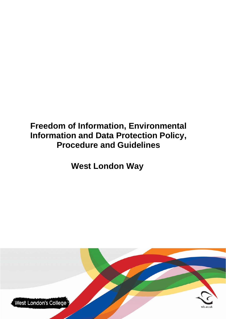# **Freedom of Information, Environmental Information and Data Protection Policy, Procedure and Guidelines**

**West London Way** 

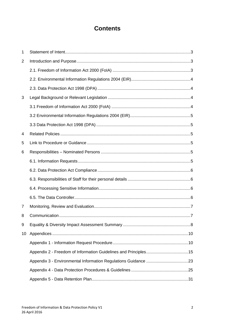# **Contents**

| 1  |  |
|----|--|
| 2  |  |
|    |  |
|    |  |
|    |  |
| 3  |  |
|    |  |
|    |  |
|    |  |
| 4  |  |
| 5  |  |
| 6  |  |
|    |  |
|    |  |
|    |  |
|    |  |
|    |  |
| 7  |  |
| 8  |  |
| 9  |  |
| 10 |  |
|    |  |
|    |  |
|    |  |
|    |  |
|    |  |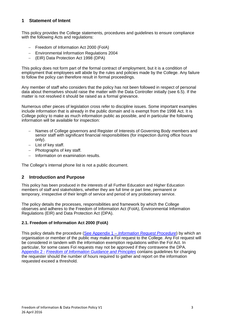# **1 Statement of Intent**

This policy provides the College statements, procedures and guidelines to ensure compliance with the following Acts and regulations:

- Freedom of Information Act 2000 (FoIA)
- Environmental Information Regulations 2004
- (EIR) Data Protection Act 1998 (DPA)

This policy does not form part of the formal contract of employment, but it is a condition of employment that employees will abide by the rules and policies made by the College. Any failure to follow the policy can therefore result in formal proceedings.

Any member of staff who considers that the policy has not been followed in respect of personal data about themselves should raise the matter with the Data Controller initially (see 6.5). If the matter is not resolved it should be raised as a formal grievance.

Numerous other pieces of legislation cross refer to discipline issues. Some important examples include information that is already in the public domain and is exempt from the 1998 Act. It is College policy to make as much information public as possible, and in particular the following information will be available for inspection:

- Names of College governors and Register of Interests of Governing Body members and senior staff with significant financial responsibilities (for inspection during office hours only).
- $-$  List of key staff.
- $-$  Photographs of key staff.
- Information on examination results.

The College's internal phone list is not a public document.

#### **2 Introduction and Purpose**

This policy has been produced in the interests of all Further Education and Higher Education members of staff and stakeholders, whether they are full time or part time, permanent or temporary, irrespective of their length of service and period of any probationary service.

The policy details the processes, responsibilities and framework by which the College observes and adheres to the Freedom of Information Act (FoIA), Environmental Information Regulations (EIR) and Data Protection Act (DPA).

#### **2.1. Freedom of Information Act 2000 (FoIA)**

This policy details the procedure (See Appendix 1 – *Information Request Procedure*) by which an organisation or member of the public may make a FoI request to the College. Any FoI request will be considered in tandem with the information exemption regulations within the FoI Act. In particular, for some cases FoI requests may not be approved if they contravene the DPA. Appendix 2 - *Freedom of Information Guidance and Principles* contains guidelines for charging the requester should the number of hours required to gather and report on the information requested exceed a threshold.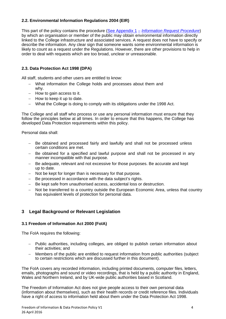#### **2.2. Environmental Information Regulations 2004 (EIR)**

This part of the policy contains the procedure (See Appendix 1 – *Information Request Procedure*) by which an organisation or member of the public may obtain environmental information directly linked to the College infrastructure and associated services. A request does not have to specify or describe the information. Any clear sign that someone wants some environmental information is likely to count as a request under the Regulations. However, there are other provisions to help in order to deal with requests which are too broad, unclear or unreasonable.

### **2.3. Data Protection Act 1998 (DPA)**

All staff, students and other users are entitled to know:

- What information the College holds and processes about them and why.
- $-$  How to gain access to it.
- $-$  How to keep it up to date.
- What the College is doing to comply with its obligations under the 1998 Act.

The College and all staff who process or use any personal information must ensure that they follow the principles below at all times. In order to ensure that this happens, the College has developed Data Protection requirements within this policy.

Personal data shall:

- Be obtained and processed fairly and lawfully and shall not be processed unless certain conditions are met.
- Be obtained for a specified and lawful purpose and shall not be processed in any manner incompatible with that purpose.
- Be adequate, relevant and not excessive for those purposes. Be accurate and kept up to date.
- Not be kept for longer than is necessary for that purpose.
- Be processed in accordance with the data subject's rights.
- Be kept safe from unauthorised access, accidental loss or destruction.
- Not be transferred to a country outside the European Economic Area, unless that country has equivalent levels of protection for personal data.

# **3 Legal Background or Relevant Legislation**

#### **3.1 Freedom of Information Act 2000 (FoIA)**

The FoIA requires the following:

- Public authorities, including colleges, are obliged to publish certain information about their activities; and
- Members of the public are entitled to request information from public authorities (subject to certain restrictions which are discussed further in this document).

The FoIA covers any recorded information, including printed documents, computer files, letters, emails, photographs and sound or video recordings, that is held by a public authority in England, Wales and Northern Ireland, and by UK-wide public authorities based in Scotland.

The Freedom of Information Act does not give people access to their own personal data (information about themselves), such as their health records or credit reference files. Individuals have a right of access to information held about them under the Data Protection Act 1998.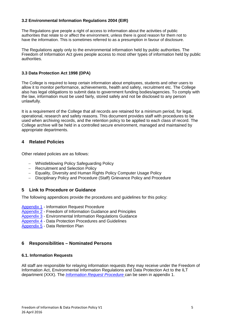#### **3.2 Environmental Information Regulations 2004 (EIR)**

The Regulations give people a right of access to information about the activities of public authorities that relate to or affect the environment, unless there is good reason for them not to have the information. This is sometimes referred to as a presumption in favour of disclosure.

The Regulations apply only to the environmental information held by public authorities. The Freedom of Information Act gives people access to most other types of information held by public authorities.

#### **3.3 Data Protection Act 1998 (DPA)**

The College is required to keep certain information about employees, students and other users to allow it to monitor performance, achievements, health and safety, recruitment etc. The College also has legal obligations to submit data to government funding bodies/agencies. To comply with the law, information must be used fairly, stored safely and not be disclosed to any person unlawfully.

It is a requirement of the College that all records are retained for a minimum period, for legal, operational, research and safety reasons. This document provides staff with procedures to be used when archiving records, and the retention policy to be applied to each class of record. The College archive will be held in a controlled secure environment, managed and maintained by appropriate departments.

# **4 Related Policies**

Other related policies are as follows:

- Whistleblowing Policy Safeguarding Policy
- Recruitment and Selection Policy
- Equality, Diversity and Human Rights Policy Computer Usage Policy
- Disciplinary Policy and Procedure (Staff) Grievance Policy and Procedure

#### **5 Link to Procedure or Guidance**

The following appendices provide the procedures and guidelines for this policy:

- Appendix 1 Information Request Procedure
- Appendix 2 Freedom of Information Guidance and Principles
- Appendix 3 Environmental Information Regulations Guidance
- Appendix 4 Data Protection Procedures and Guidelines
- Appendix 5 Data Retention Plan

#### **6 Responsibilities – Nominated Persons**

#### **6.1. Information Requests**

All staff are responsible for relaying information requests they may receive under the Freedom of Information Act, Environmental Information Regulations and Data Protection Act to the ILT department (XXX). The *Information Request Procedure* can be seen in appendix 1.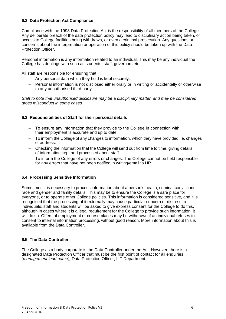#### **6.2. Data Protection Act Compliance**

Compliance with the 1998 Data Protection Act is the responsibility of all members of the College. Any deliberate breach of the data protection policy may lead to disciplinary action being taken, or access to College facilities being withdrawn, or even a criminal prosecution. Any questions or concerns about the interpretation or operation of this policy should be taken up with the Data Protection Officer.

Personal information is any information related to an individual. This may be any individual the College has dealings with such as students, staff, governors etc.

All staff are responsible for ensuring that:

- Any personal data which they hold is kept securely.
- Personal information is not disclosed either orally or in writing or accidentally or otherwise to any unauthorised third party.

*Staff to note that unauthorised disclosure may be a disciplinary matter, and may be considered gross misconduct in some cases.* 

#### **6.3. Responsibilities of Staff for their personal details**

- To ensure any information that they provide to the College in connection with their employment is accurate and up to date.
- To inform the College of any changes to information, which they have provided i.e. changes of address.
- Checking the information that the College will send out from time to time, giving details of information kept and processed about staff.
- To inform the College of any errors or changes. The College cannot be held responsible for any errors that have not been notified in writing/email to HR.

#### **6.4. Processing Sensitive Information**

Sometimes it is necessary to process information about a person's health, criminal convictions, race and gender and family details. This may be to ensure the College is a safe place for everyone, or to operate other College policies. This information is considered sensitive, and it is recognised that the processing of it externally may cause particular concern or distress to individuals; staff and students will be asked to give express consent for the College to do this, although in cases where it is a legal requirement for the College to provide such information, it will do so. Offers of employment or course places may be withdrawn if an individual refuses to consent to internal information processing, without good reason. More information about this is available from the Data Controller.

#### **6.5. The Data Controller**

The College as a body corporate is the Data Controller under the Act. However, there is a designated Data Protection Officer that must be the first point of contact for all enquiries: *(management lead name),* Data Protection Officer, ILT Department.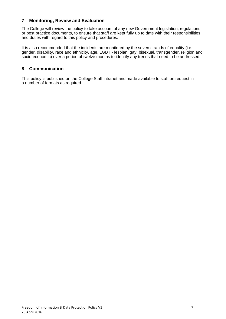# **7 Monitoring, Review and Evaluation**

The College will review the policy to take account of any new Government legislation, regulations or best practice documents, to ensure that staff are kept fully up to date with their responsibilities and duties with regard to this policy and procedures.

It is also recommended that the incidents are monitored by the seven strands of equality (i.e. gender, disability, race and ethnicity, age, LGBT - lesbian, gay, bisexual, transgender, religion and socio-economic) over a period of twelve months to identify any trends that need to be addressed.

# **8 Communication**

This policy is published on the College Staff intranet and made available to staff on request in a number of formats as required.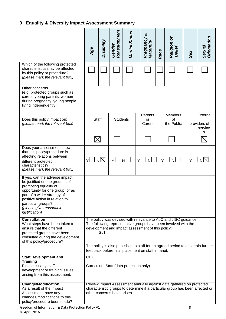# **9 Equality & Diversity Impact Assessment Summary**

|                                                                                                                                                                                                                                                                   |                                                                                                                                                                                                       |            | Reassignment                | <b>Marital Status</b> | ิซ                                      |      |                                                                                                                                                       |     |                                         |
|-------------------------------------------------------------------------------------------------------------------------------------------------------------------------------------------------------------------------------------------------------------------|-------------------------------------------------------------------------------------------------------------------------------------------------------------------------------------------------------|------------|-----------------------------|-----------------------|-----------------------------------------|------|-------------------------------------------------------------------------------------------------------------------------------------------------------|-----|-----------------------------------------|
|                                                                                                                                                                                                                                                                   | Age                                                                                                                                                                                                   | Disability | Gender                      |                       | Pregnancy<br>Maternity                  | Race | Religion or<br>Belief                                                                                                                                 | Sex | Orientation<br>Sexual                   |
| Which of the following protected<br>characteristics may be affected<br>by this policy or procedure?<br>(please mark the relevant box)                                                                                                                             |                                                                                                                                                                                                       |            |                             |                       |                                         |      |                                                                                                                                                       |     |                                         |
| Other concerns<br>(e.g. protected groups such as<br>carers, young parents, women<br>during pregnancy, young people<br>living independently)                                                                                                                       |                                                                                                                                                                                                       |            |                             |                       |                                         |      |                                                                                                                                                       |     |                                         |
| Does this policy impact on:<br>(please mark the relevant box)                                                                                                                                                                                                     | <b>Staff</b>                                                                                                                                                                                          |            | <b>Students</b>             |                       | Parents<br>or<br>Carers                 |      | <b>Members</b><br>of<br>the Public                                                                                                                    |     | Externa<br>providers of<br>service<br>s |
|                                                                                                                                                                                                                                                                   | $\boxtimes$                                                                                                                                                                                           |            |                             |                       |                                         |      |                                                                                                                                                       |     |                                         |
| Does your assessment show<br>that this policy/procedure is<br>affecting relations between<br>different protected<br>characteristics?<br>(please mark the relevant box)                                                                                            | Y□ n⊠                                                                                                                                                                                                 |            | YLINLI                      |                       | $Y \Box$                                | N    | N<br>Y١                                                                                                                                               |     | Y∐N⊠                                    |
| If yes, can the adverse impact<br>be justified on the grounds of<br>promoting equality of<br>opportunity for one group, or as<br>part of a wider strategy of<br>positive action in relation to<br>particular groups?<br>(please give reasonable<br>justification) |                                                                                                                                                                                                       |            |                             |                       |                                         |      |                                                                                                                                                       |     |                                         |
| <b>Consultation</b><br>What steps have been taken to<br>ensure that the different<br>protected groups have been<br>consulted during the development<br>of this policy/procedure?                                                                                  | The policy was devised with relevance to AoC and JISC guidance.<br>The following representative groups have been involved with the<br>development and impact assessment of this policy:<br><b>SLT</b> |            |                             |                       |                                         |      |                                                                                                                                                       |     |                                         |
|                                                                                                                                                                                                                                                                   | The policy is also published to staff for an agreed period to ascertain further<br>feedback before final placement on staff intranet.                                                                 |            |                             |                       |                                         |      |                                                                                                                                                       |     |                                         |
| <b>Staff Development and</b><br><b>Training</b><br>Please list any staff<br>development or training issues<br>arising from this assessment.                                                                                                                       | <b>CLT</b>                                                                                                                                                                                            |            |                             |                       | Curriculum Staff (data protection only) |      |                                                                                                                                                       |     |                                         |
| <b>Change/Modification</b><br>As a result of the Impact<br>Assessment, have any<br>changes/modifications to this<br>policy/procedure been made?                                                                                                                   |                                                                                                                                                                                                       |            | other concerns have arisen. |                       |                                         |      | Review Impact Assessment annually against data gathered on protected<br>characteristic groups to determine if a particular group has been affected or |     |                                         |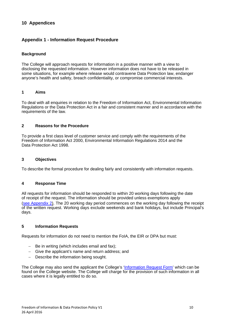# **10 Appendices**

# **Appendix 1 - Information Request Procedure**

#### **Background**

The College will approach requests for information in a positive manner with a view to disclosing the requested information. However information does not have to be released in some situations, for example where release would contravene Data Protection law, endanger anyone's health and safety, breach confidentiality, or compromise commercial interests.

#### **1 Aims**

To deal with all enquiries in relation to the Freedom of Information Act, Environmental Information Regulations or the Data Protection Act in a fair and consistent manner and in accordance with the requirements of the law.

#### **2 Reasons for the Procedure**

To provide a first class level of customer service and comply with the requirements of the Freedom of Information Act 2000, Environmental Information Regulations 2014 and the Data Protection Act 1998.

#### **3 Objectives**

To describe the formal procedure for dealing fairly and consistently with information requests.

#### **4 Response Time**

All requests for information should be responded to within 20 working days following the date of receipt of the request. The information should be provided unless exemptions apply (see Appendix 2). The 20 working day period commences on the working day following the receipt of the written request. Working days exclude weekends and bank holidays, but include Principal's days.

#### **5 Information Requests**

Requests for information do not need to mention the FoIA, the EIR or DPA but must:

- Be in writing (which includes email and fax);
- Give the applicant's name and return address; and
- Describe the information being sought.

The College may also send the applicant the College's 'Information Request Form' which can be found on the College website. The College will charge for the provision of such information in all cases where it is legally entitled to do so.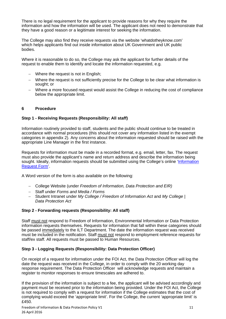There is no legal requirement for the applicant to provide reasons for why they require the information and how the information will be used. The applicant does not need to demonstrate that they have a good reason or a legitimate interest for seeking the information.

The College may also find they receive requests via the website 'whatdotheyknow.com' which helps applicants find out inside information about UK Government and UK public bodies.

Where it is reasonable to do so, the College may ask the applicant for further details of the request to enable them to identify and locate the information requested, e.g.

- Where the request is not in English;
- Where the request is not sufficiently precise for the College to be clear what information is sought; or
- Where a more focused request would assist the College in reducing the cost of compliance below the appropriate limit.

#### **6 Procedure**

#### **Step 1 - Receiving Requests (Responsibility: All staff)**

Information routinely provided to staff, students and the public should continue to be treated in accordance with normal procedures (this should not cover any information listed in the exempt categories in appendix 2). Any concerns about the information requested should be raised with the appropriate Line Manager in the first instance.

Requests for information must be made in a recorded format, e.g. email, letter, fax. The request must also provide the applicant's name and return address and describe the information being sought. Ideally, information requests should be submitted using the College's online 'Information' Request Form'.

A Word version of the form is also available on the following:

- College Website (under *Freedom of Information, Data Protection and EIR)*
- Staff under *Forms and Media / Forms*
- Student Intranet under *My College / Freedom of Information Act* and *My College | Data Protection Act*

#### **Step 2 - Forwarding requests (Responsibility: All staff)**

Staff must not respond to Freedom of Information, Environmental Information or Data Protection information requests themselves. Requests for information that fall within these categories should be passed immediately to the ILT Department. The date the information request was received must be included in the notification. Staff must not respond to employment reference requests for staff/ex staff. All requests must be passed to Human Resources.

#### **Step 3 - Logging Requests (Responsibility: Data Protection Officer)**

On receipt of a request for information under the FOI Act, the Data Protection Officer will log the date the request was received in the College, in order to comply with the 20 working day response requirement. The Data Protection Officer will acknowledge requests and maintain a register to monitor responses to ensure timescales are adhered to.

If the provision of the information is subject to a fee, the applicant will be advised accordingly and payment must be received prior to the information being provided. Under the FOI Act, the College is not required to comply with a request for information if the College estimates that the cost of complying would exceed the 'appropriate limit'. For the College, the current 'appropriate limit' is £450.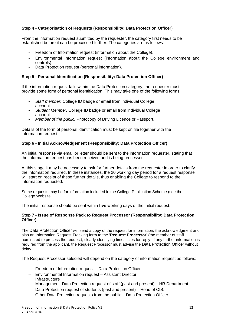#### **Step 4 - Categorisation of Requests (Responsibility: Data Protection Officer)**

From the information request submitted by the requester, the category first needs to be established before it can be processed further. The categories are as follows:

- Freedom of Information request (information about the College).
- Environmental Information request (information about the College environment and controls).
- Data Protection request (personal information).

#### **Step 5 - Personal Identification (Responsibility: Data Protection Officer)**

If the information request falls within the Data Protection category, the requester must provide some form of personal identification. This may take one of the following forms:

- *Staff member:* College ID badge or email from individual College account.
- *Student Member:* College ID badge or email from individual College account.
- *Member of the public:* Photocopy of Driving Licence or Passport.

Details of the form of personal identification must be kept on file together with the information request.

#### **Step 6 - Initial Acknowledgement (Responsibility: Data Protection Officer)**

An initial response via email or letter should be sent to the information requester, stating that the information request has been received and is being processed.

At this stage it may be necessary to ask for further details from the requester in order to clarify the information required. In these instances, the 20 working day period for a request response will start on receipt of these further details, thus enabling the College to respond to the information requested.

Some requests may be for information included in the College Publication Scheme (see the College Website.

The initial response should be sent within **five** working days of the initial request.

#### **Step 7 - Issue of Response Pack to Request Processor (Responsibility: Data Protection Officer)**

The Data Protection Officer will send a copy of the request for information, the acknowledgment and also an Information Request Tracking form to the '**Request Processor**' (the member of staff nominated to process the request), clearly identifying timescales for reply. If any further information is required from the applicant, the Request Processor must advise the Data Protection Officer without delay.

The Request Processor selected will depend on the category of information request as follows:

- Freedom of Information request Data Protection Officer.
- Environmental Information request Assistant Director Infrastructure
- Management. Data Protection request of staff (past and present) HR Department.
- Data Protection request of students (past and present) Head of CIS.
- Other Data Protection requests from the public Data Protection Officer.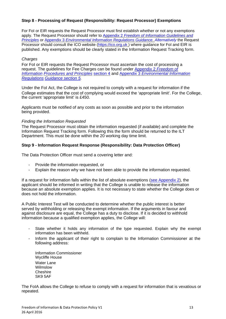#### **Step 8 - Processing of Request (Responsibility: Request Processor) Exemptions**

For FoI or EIR requests the Request Processor must first establish whether or not any exemptions apply. The Request Processor should refer to Appendix 2 *Freedom of Information Guidelines and Principles* or Appendix 3 *Environmental Information Regulations Guidance*. *Alternatively* the Request Processor should consult the ICO website (https://ico.org.uk ) where guidance for FoI and EIR is published. Any exemptions should be clearly stated in the Information Request Tracking form.

#### *Charges*

For FoI or EIR requests the Request Processor must ascertain the cost of processing a request. The guidelines for Fee Charges can be found under Appendix 2 *Freedom of Information Procedures and Principles* section 4 and Appendix 3 *Environmental Information Regulations Guidance section 5.* 

Under the FoI Act, the College is not required to comply with a request for information if the College estimates that the cost of complying would exceed the 'appropriate limit'. For the College, the current 'appropriate limit' is £450.

Applicants must be notified of any costs as soon as possible and prior to the information being provided.

#### *Finding the Information Requested*

The Request Processor must obtain the information requested (if available) and complete the Information Request Tracking form. Following this the form should be returned to the ILT Department. This must be done within the 20 working day time limit.

#### **Step 9 - Information Request Response (Responsibility: Data Protection Officer)**

The Data Protection Officer must send a covering letter and:

- Provide the information requested, or
- Explain the reason why we have not been able to provide the information requested.

If a request for information falls within the list of absolute exemptions (see Appendix 2), the applicant should be informed in writing that the College is unable to release the information because an absolute exemption applies. It is not necessary to state whether the College does or does not hold the information.

A Public Interest Test will be conducted to determine whether the public interest is better served by withholding or releasing the exempt information. If the arguments in favour and against disclosure are equal, the College has a duty to disclose. If it is decided to withhold information because a qualified exemption applies, the College will:

- State whether it holds any information of the type requested. Explain why the exempt information has been withheld.
- Inform the applicant of their right to complain to the Information Commissioner at the following address:

Information Commissioner Wycliffe House Water Lane Wilmslow **Cheshire** SK9 5AF

The FoIA allows the College to refuse to comply with a request for information that is vexatious or repeated.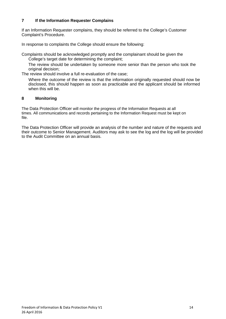#### **7 If the Information Requester Complains**

If an Information Requester complains, they should be referred to the College's Customer Complaint's Procedure.

In response to complaints the College should ensure the following:

Complaints should be acknowledged promptly and the complainant should be given the College's target date for determining the complaint;

The review should be undertaken by someone more senior than the person who took the original decision;

The review should involve a full re-evaluation of the case;

Where the outcome of the review is that the information originally requested should now be disclosed, this should happen as soon as practicable and the applicant should be informed when this will be.

#### **8 Monitoring**

The Data Protection Officer will monitor the progress of the Information Requests at all times. All communications and records pertaining to the Information Request must be kept on file.

The Data Protection Officer will provide an analysis of the number and nature of the requests and their outcome to Senior Management. Auditors may ask to see the log and the log will be provided to the Audit Committee on an annual basis.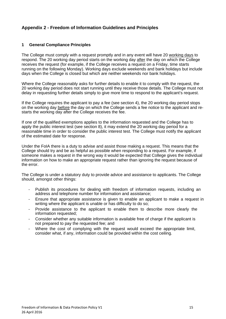# **Appendix 2 - Freedom of Information Guidelines and Principles**

#### **1 General Compliance Principles**

The College must comply with a request promptly and in any event will have 20 working days to respond. The 20 working day period starts on the working day after the day on which the College receives the request (for example, if the College receives a request on a Friday, time starts running on the following Monday). Working days exclude weekends and bank holidays but include days when the College is closed but which are neither weekends nor bank holidays.

Where the College reasonably asks for further details to enable it to comply with the request, the 20 working day period does not start running until they receive those details. The College must not delay in requesting further details simply to give more time to respond to the applicant's request.

If the College requires the applicant to pay a fee (see section 4), the 20 working day period stops on the working day before the day on which the College sends a fee notice to the applicant and restarts the working day after the College receives the fee.

If one of the qualified exemptions applies to the information requested and the College has to apply the public interest test (see section 8), it may extend the 20 working day period for a reasonable time in order to consider the public interest test. The College must notify the applicant of the estimated date for response.

Under the FoIA there is a duty to advise and assist those making a request. This means that the College should try and be as helpful as possible when responding to a request. For example, if someone makes a request in the wrong way it would be expected that College gives the individual information on how to make an appropriate request rather than ignoring the request because of the error.

The College is under a statutory duty to provide advice and assistance to applicants. The College should, amongst other things:

- Publish its procedures for dealing with freedom of information requests, including an address and telephone number for information and assistance;
- Ensure that appropriate assistance is given to enable an applicant to make a request in writing where the applicant is unable or has difficulty to do so;
- Provide assistance to the applicant to enable them to describe more clearly the information requested;
- Consider whether any suitable information is available free of charge if the applicant is not prepared to pay the requested fee; and
- Where the cost of complying with the request would exceed the appropriate limit, consider what, if any, information could be provided within the cost ceiling.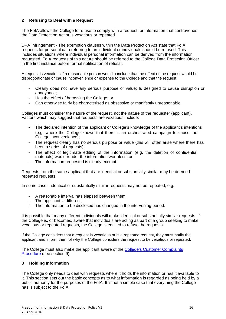#### **2 Refusing to Deal with a Request**

The FoIA allows the College to refuse to comply with a request for information that contravenes the Data Protection Act or is vexatious or repeated.

DPA Infringement - The exemption clauses within the Data Protection Act state that FoIA requests for personal data referring to an individual or individuals should be refused. This includes situations where individual personal information can be derived from the information requested. FoIA requests of this nature should be referred to the College Data Protection Officer in the first instance before formal notification of refusal.

A request is vexatious if a reasonable person would conclude that the effect of the request would be disproportionate or cause inconvenience or expense to the College and that the request:

- Clearly does not have any serious purpose or value; Is designed to cause disruption or annoyance;
- Has the effect of harassing the College; or
- Can otherwise fairly be characterised as obsessive or manifestly unreasonable.

Colleges must consider the nature of the request, not the nature of the requester (applicant). Factors which may suggest that requests are vexatious include:

- The declared intention of the applicant or College's knowledge of the applicant's intentions (e.g. where the College knows that there is an orchestrated campaign to cause the College inconvenience);
- The request clearly has no serious purpose or value (this will often arise where there has been a series of requests);
- The effect of legitimate editing of the information (e.g. the deletion of confidential materials) would render the information worthless; or
- The information requested is clearly exempt.

Requests from the same applicant that are identical or substantially similar may be deemed repeated requests.

In some cases, identical or substantially similar requests may not be repeated, e.g.

- A reasonable interval has elapsed between them;
- The applicant is different;
- The information to be disclosed has changed in the intervening period.

It is possible that many different individuals will make identical or substantially similar requests. If the College is, or becomes, aware that individuals are acting as part of a group seeking to make vexatious or repeated requests, the College is entitled to refuse the requests.

If the College considers that a request is vexatious or is a repeated request, they must notify the applicant and inform them of why the College considers the request to be vexatious or repeated.

The College must also make the applicant aware of the College's Customer Complaints Procedure (see section 9).

#### **3 Holding Information**

The College only needs to deal with requests where it holds the information or has it available to it. This section sets out the basic concepts as to what information is regarded as being held by a public authority for the purposes of the FoIA. It is not a simple case that everything the College has is subject to the FoIA.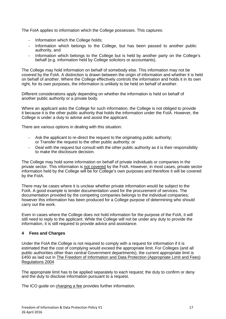The FoIA applies to information which the College possesses. This captures:

- Information which the College holds:
- Information which belongs to the College, but has been passed to another public authority, and
- Information which belongs to the College but is held by another party on the College's behalf (e.g. information held by College solicitors or accountants).

The College may hold information on behalf of somebody else. This information may not be covered by the FoIA. A distinction is drawn between the origin of information and whether it is held on behalf of another. Where the College effectively controls the information and holds it in its own right, for its own purposes, the information is unlikely to be held on behalf of another.

Different considerations apply depending on whether the information is held on behalf of another public authority or a private body.

Where an applicant asks the College for such information, the College is not obliged to provide it because it is the other public authority that holds the information under the FoIA. However, the College is under a duty to advise and assist the applicant.

There are various options in dealing with this situation:

- Ask the applicant to re-direct the request to the originating public authority; or Transfer the request to the other public authority; or
- Deal with the request but consult with the other public authority as it is their responsibility to make the disclosure decision.

The College may hold some information on behalf of private individuals or companies in the private sector. This information is not covered by the FoIA. However, in most cases, private sector information held by the College will be for College's own purposes and therefore it will be covered by the FoIA.

There may be cases where it is unclear whether private information would be subject to the FoIA. A good example is tender documentation used for the procurement of services. The documentation provided by the competing companies belongs to the individual companies; however this information has been produced for a College purpose of determining who should carry out the work.

Even in cases where the College does not hold information for the purpose of the FoIA, it will still need to reply to the applicant. While the College will not be under any duty to provide the information, it is still required to provide advice and assistance.

#### **4 Fees and Charges**

Under the FoIA the College is not required to comply with a request for information if it is estimated that the cost of complying would exceed the appropriate limit. For Colleges (and all public authorities other than central Government departments), the current appropriate limit is £450 as laid out in The Freedom of Information and Data Protection (Appropriate Limit and Fees) Regulations 2004

The appropriate limit has to be applied separately to each request; the duty to confirm or deny and the duty to disclose information pursuant to a request.

The ICO guide on charging a fee provides further information.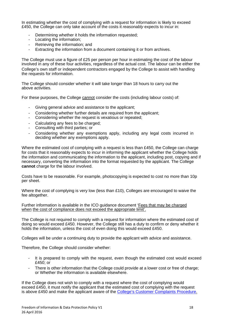In estimating whether the cost of complying with a request for information is likely to exceed £450, the College can only take account of the costs it *reasonably* expects to incur in:

- Determining whether it holds the information requested;
- Locating the information;
- Retrieving the information; and
- Extracting the information from a document containing it or from archives.

The College must use a figure of £25 per person per hour in estimating the cost of the labour involved in any of these four activities, regardless of the actual cost. The labour can be either the College's own staff or independent contractors engaged by the College to assist with handling the requests for information.

The College should consider whether it will take longer than 18 hours to carry out the above activities.

For these purposes, the College cannot consider the costs (including labour costs) of:

- Giving general advice and assistance to the applicant;
- Considering whether further details are required from the applicant;
- Considering whether the request is vexatious or repeated;
- Calculating any fees to be charged:
- Consulting with third parties; or
- Considering whether any exemptions apply, including any legal costs incurred in deciding whether any exemptions apply.

Where the estimated cost of complying with a request is less than £450, the College can charge for costs that it reasonably expects to incur in informing the applicant whether the College holds the information and communicating the information to the applicant, including post, copying and if necessary, converting the information into the format requested by the applicant. The College **cannot** charge for the labour involved.

Costs have to be reasonable. For example, photocopying is expected to cost no more than 10p per sheet.

Where the cost of complying is very low (less than £10), Colleges are encouraged to waive the fee altogether.

Further information is available in the ICO guidance document 'Fees that may be charged when the cost of compliance does not exceed the appropriate limit'.

The College is not required to comply with a request for information where the estimated cost of doing so would exceed £450. However, the College still has a duty to confirm or deny whether it holds the information, unless the cost of even doing this would exceed £450.

Colleges will be under a continuing duty to provide the applicant with advice and assistance.

Therefore, the College should consider whether:

- It is prepared to comply with the request, even though the estimated cost would exceed £450; or
- There is other information that the College could provide at a lower cost or free of charge; or Whether the information is available elsewhere.

If the College does not wish to comply with a request where the cost of complying would exceed £450, it must notify the applicant that the estimated cost of complying with the request is above £450 and make the applicant aware of the College's Customer Complaints Procedure.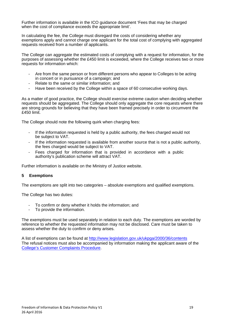Further information is available in the ICO guidance document 'Fees that may be charged when the cost of compliance exceeds the appropriate limit'.

In calculating the fee, the College must disregard the costs of considering whether any exemptions apply and cannot charge one applicant for the total cost of complying with aggregated requests received from a number of applicants.

The College can aggregate the estimated costs of complying with a request for information, for the purposes of assessing whether the £450 limit is exceeded, where the College receives two or more requests for information which:

- Are from the same person or from different persons who appear to Colleges to be acting in concert or in pursuance of a campaign; and
- Relate to the same or similar information; and
- Have been received by the College within a space of 60 consecutive working days.

As a matter of good practice, the College should exercise extreme caution when deciding whether requests should be aggregated. The College should only aggregate the core requests where there are strong grounds for believing that they have been framed precisely in order to circumvent the £450 limit.

The College should note the following quirk when charging fees:

- If the information requested is held by a public authority, the fees charged would not be subject to VAT.
- If the information requested is available from another source that is not a public authority, the fees charged would be subject to VAT.
- Fees charged for information that is provided in accordance with a public authority's publication scheme will attract VAT.

Further information is available on the Ministry of Justice website.

#### **5 Exemptions**

The exemptions are split into two categories – absolute exemptions and qualified exemptions.

The College has two duties:

- To confirm or deny whether it holds the information; and
- To provide the information.

The exemptions must be used separately in relation to each duty. The exemptions are worded by reference to whether the requested information may not be disclosed. Care must be taken to assess whether the duty to confirm or deny arises.

A list of exemptions can be found at http://www.legislation.gov.uk/ukpga/2000/36/contents The refusal notices must also be accompanied by information making the applicant aware of the College's Customer Complaints Procedure.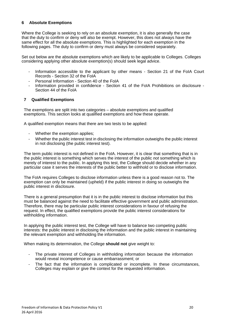#### **6 Absolute Exemptions**

Where the College is seeking to rely on an absolute exemption, it is also generally the case that the duty to confirm or deny will also be exempt. However, this does not always have the same effect for all the absolute exemptions. This is highlighted for each exemption in the following pages. The duty to confirm or deny must always be considered separately.

Set out below are the absolute exemptions which are likely to be applicable to Colleges. Colleges considering applying other absolute exemption(s) should seek legal advice.

- Information accessible to the applicant by other means Section 21 of the FoIA Court Records - Section 32 of the FoIA
- Personal Information Section 40 of the FoIA
- Information provided in confidence Section 41 of the FoIA Prohibitions on disclosure Section 44 of the FoIA

#### **7 Qualified Exemptions**

The exemptions are split into two categories – absolute exemptions and qualified exemptions. This section looks at qualified exemptions and how these operate.

A qualified exemption means that there are two tests to be applied:

- Whether the exemption applies;
- Whether the public interest test in disclosing the information outweighs the public interest in not disclosing (the public interest test).

The term public interest is not defined in the FoIA. However, it is clear that something that is in the public interest is something which serves the interest of the public *not* something which is merely of interest to the public. In applying this test, the College should decide whether in any particular case it serves the interests of the public better to withhold or to disclose information.

The FoIA requires Colleges to disclose information unless there is a good reason not to. The exemption can only be maintained (upheld) if the public interest in doing so outweighs the public interest in disclosure.

There is a general presumption that it is in the public interest to disclose information but this must be balanced against the need to facilitate effective government and public administration. Therefore, there may be particular public interest considerations in favour of refusing the request. In effect, the qualified exemptions provide the public interest considerations for withholding information.

In applying the public interest test, the College will have to balance two competing public interests: the public interest in disclosing the information and the public interest in maintaining the relevant exemption and withholding the information.

When making its determination, the College **should not** give weight to:

- The private interest of Colleges in withholding information because the information would reveal incompetence or cause embarrassment; or
- The fact that the information is complicated or incomplete. In these circumstances, Colleges may explain or give the context for the requested information.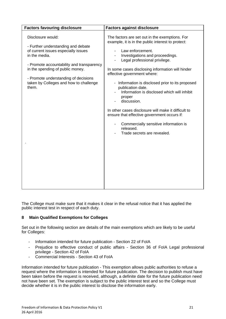| <b>Factors favouring disclosure</b>                                                                                                                                                                                                                                                         | <b>Factors against disclosure</b>                                                                                                                                                                                                                                                                                                                                                                                                                                                                                                                                                                                                                      |
|---------------------------------------------------------------------------------------------------------------------------------------------------------------------------------------------------------------------------------------------------------------------------------------------|--------------------------------------------------------------------------------------------------------------------------------------------------------------------------------------------------------------------------------------------------------------------------------------------------------------------------------------------------------------------------------------------------------------------------------------------------------------------------------------------------------------------------------------------------------------------------------------------------------------------------------------------------------|
| Disclosure would:<br>- Further understanding and debate<br>of current issues especially issues<br>in the media.<br>- Promote accountability and transparency<br>in the spending of public money.<br>- Promote understanding of decisions<br>taken by Colleges and how to challenge<br>them. | The factors are set out in the exemptions. For<br>example, it is in the public interest to protect:<br>Law enforcement.<br>Investigations and proceedings.<br>Legal professional privilege.<br>$\overline{\phantom{a}}$<br>In some cases disclosing information will hinder<br>effective government where:<br>- Information is disclosed prior to its proposed<br>publication date.<br>Information is disclosed which will inhibit<br>proper<br>discussion.<br>In other cases disclosure will make it difficult to<br>ensure that effective government occurs if:<br>Commercially sensitive information is<br>released.<br>Trade secrets are revealed. |

The College must make sure that it makes it clear in the refusal notice that it has applied the public interest test in respect of each duty.

#### **8 Main Qualified Exemptions for Colleges**

Set out in the following section are details of the main exemptions which are likely to be useful for Colleges:

- Information intended for future publication Section 22 of FoIA
- Prejudice to effective conduct of public affairs Section 36 of FoIA Legal professional privilege - Section 42 of FoIA
- Commercial Interests Section 43 of FoIA

Information intended for future publication - This exemption allows public authorities to refuse a request where the information is intended for future publication. The decision to publish must have been taken before the request is received, although, a definite date for the future publication need not have been set. The exemption is subject to the public interest test and so the College must decide whether it is in the public interest to disclose the information early.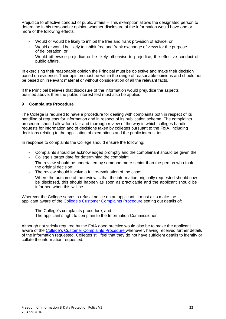Prejudice to effective conduct of public affairs – This exemption allows the designated person to determine in his reasonable opinion whether disclosure of the information would have one or more of the following effects:

- Would or would be likely to inhibit the free and frank provision of advice; or
- Would or would be likely to inhibit free and frank exchange of views for the purpose of deliberation; or
- Would otherwise prejudice or be likely otherwise to prejudice, the effective conduct of public affairs.

In exercising their reasonable opinion the Principal must be objective and make their decision based on evidence. Their opinion must be within the range of reasonable opinions and should not be based on irrelevant material or without consideration of all the relevant facts.

If the Principal believes that disclosure of the information would prejudice the aspects outlined above, then the public interest test must also be applied.

#### **9 Complaints Procedure**

The College is required to have a procedure for dealing with complaints both in respect of its handling of requests for information and in respect of its publication scheme. The complaints procedure should allow for a fair and thorough review of the way in which colleges handle requests for information and of decisions taken by colleges pursuant to the FoIA, including decisions relating to the application of exemptions and the public interest test.

In response to complaints the College should ensure the following:

- Complaints should be acknowledged promptly and the complainant should be given the
- College's target date for determining the complaint:
- The review should be undertaken by someone more senior than the person who took the original decision:
- The review should involve a full re-evaluation of the case;
- Where the outcome of the review is that the information originally requested should now be disclosed, this should happen as soon as practicable and the applicant should be informed when this will be.

Wherever the College serves a refusal notice on an applicant, it must also make the applicant aware of the College's Customer Complaints Procedure setting out details of:

- The College's complaints procedure; and
- The applicant's right to complain to the Information Commissioner.

Although not strictly required by the FoIA good practice would also be to make the applicant aware of the College's Customer Complaints Procedure whenever, having received further details of the information requested, Colleges still feel that they do not have sufficient details to identify or collate the information requested.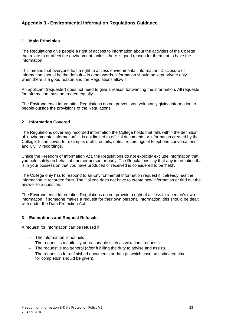# **Appendix 3 - Environmental Information Regulations Guidance**

#### **1 Main Principles**

The Regulations give people a right of access to information about the activities of the College that relate to or affect the environment, unless there is good reason for them not to have the information.

This means that everyone has a right to access environmental information. Disclosure of information should be the default – in other words, information should be kept private only when there is a good reason and the Regulations allow it.

An applicant (requester) does not need to give a reason for wanting the information. All requests for information must be treated equally.

The Environmental Information Regulations do not prevent you voluntarily giving information to people outside the provisions of the Regulations.

#### **2 Information Covered**

The Regulations cover any recorded information the College holds that falls within the definition of 'environmental information'. It is not limited to official documents or information created by the College. It can cover, for example, drafts, emails, notes, recordings of telephone conversations and CCTV recordings.

Unlike the Freedom of Information Act, the Regulations do not explicitly exclude information that you hold solely on behalf of another person or body. The Regulations say that any information that is in your possession that you have produced or received is considered to be 'held'.

The College only has to respond to an Environmental Information request if it already has the information in recorded form. The College does not have to create new information or find out the answer to a question.

The Environmental Information Regulations do not provide a right of access to a person's own information. If someone makes a request for their own personal information, this should be dealt with under the Data Protection Act.

#### **3 Exemptions and Request Refusals**

A request for information can be refused if:

- The information is not held.
- The request is manifestly unreasonable such as vexatious requests.
- The request is too general (after fulfilling the duty to advise and assist).
- The request is for unfinished documents or data (in which case an estimated time for completion should be given).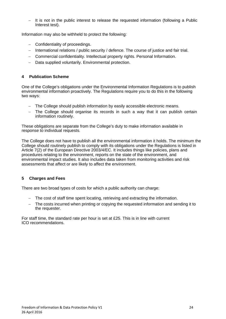$-$  It is not in the public interest to release the requested information (following a Public Interest test).

Information may also be withheld to protect the following:

- Confidentiality of proceedings.
- International relations / public security / defence. The course of justice and fair trial.
- Commercial confidentiality. Intellectual property rights. Personal Information.
- Data supplied voluntarily. Environmental protection.

#### **4 Publication Scheme**

One of the College's obligations under the Environmental Information Regulations is to publish environmental information proactively. The Regulations require you to do this in the following two ways:

- The College should publish information by easily accessible electronic means.
- The College should organise its records in such a way that it can publish certain information routinely.

These obligations are separate from the College's duty to make information available in response to individual requests.

The College does not have to publish all the environmental information it holds. The minimum the College should routinely publish to comply with its obligations under the Regulations is listed in Article 7(2) of the European Directive 2003/4/EC. It includes things like policies, plans and procedures relating to the environment, reports on the state of the environment, and environmental impact studies. It also includes data taken from monitoring activities and risk assessments that affect or are likely to affect the environment.

#### **5 Charges and Fees**

There are two broad types of costs for which a public authority can charge:

- The cost of staff time spent locating, retrieving and extracting the information.
- The costs incurred when printing or copying the requested information and sending it to the requester.

For staff time, the standard rate per hour is set at £25. This is in line with current ICO recommendations.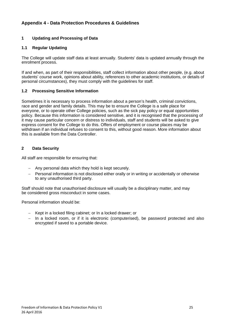# **Appendix 4 - Data Protection Procedures & Guidelines**

# **1 Updating and Processing of Data**

#### **1.1 Regular Updating**

The College will update staff data at least annually. Students' data is updated annually through the enrolment process.

If and when, as part of their responsibilities, staff collect information about other people, (e.g. about students' course work, opinions about ability, references to other academic institutions, or details of personal circumstances), they must comply with the guidelines for staff.

#### **1.2 Processing Sensitive Information**

Sometimes it is necessary to process information about a person's health, criminal convictions, race and gender and family details. This may be to ensure the College is a safe place for everyone, or to operate other College policies, such as the sick pay policy or equal opportunities policy. Because this information is considered sensitive, and it is recognised that the processing of it may cause particular concern or distress to individuals, staff and students will be asked to give express consent for the College to do this. Offers of employment or course places may be withdrawn if an individual refuses to consent to this, without good reason. More information about this is available from the Data Controller.

#### **2 Data Security**

All staff are responsible for ensuring that:

- Any personal data which they hold is kept securely.
- Personal information is not disclosed either orally or in writing or accidentally or otherwise to any unauthorised third party.

Staff should note that unauthorised disclosure will usually be a disciplinary matter, and may be considered gross misconduct in some cases.

Personal information should be:

- Kept in a locked filing cabinet; or In a locked drawer; or
- In a locked room, or if it is electronic (computerised), be password protected and also encrypted if saved to a portable device.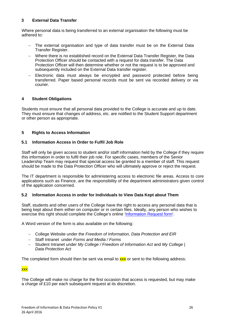#### **3 External Data Transfer**

Where personal data is being transferred to an external organisation the following must be adhered to:

- The external organisation and type of data transfer must be on the External Data Transfer Register.
- Where there is no established record on the External Data Transfer Register, the Data Protection Officer should be contacted with a request for data transfer. The Data Protection Officer will then determine whether or not the request is to be approved and subsequently included on the External Data transfer register.
- Electronic data must always be encrypted and password protected before being transferred. Paper based personal records must be sent via recorded delivery or via courier.

#### **4 Student Obligations**

Students must ensure that all personal data provided to the College is accurate and up to date. They must ensure that changes of address, etc. are notified to the Student Support department or other person as appropriate.

#### **5 Rights to Access Information**

#### **5.1 Information Access in Order to Fulfil Job Role**

Staff will only be given access to student and/or staff information held by the College if they require this information in order to fulfil their job role. For specific cases, members of the Senior Leadership Team may request that special access be granted to a member of staff. This request should be made to the Data Protection Officer who will ultimately approve or reject the request.

The IT department is responsible for administering access to electronic file areas. Access to core applications such as Finance, are the responsibility of the department administrators given control of the application concerned.

#### **5.2 Information Access in order for Individuals to View Data Kept about Them**

Staff, students and other users of the College have the right to access any personal data that is being kept about them either on computer or in certain files. Ideally, any person who wishes to exercise this right should complete the College's online 'Information Request form'.

A Word version of the form is also available on the following:

- College Website under the *Freedom of Information, Data Protection and EIR*
- Staff Intranet under *Forms and Media / Forms*
- Student Intranet under *My College / Freedom of Information Act* and *My College | Data Protection Act*

The completed form should then be sent via email to  $\frac{xx}{xx}$  or sent to the following address:

#### xxx

The College will make no charge for the first occasion that access is requested, but may make a charge of £10 per each subsequent request at its discretion.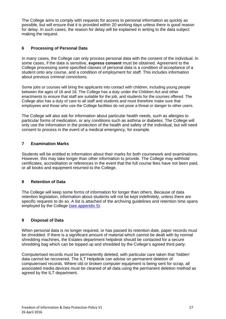The College aims to comply with requests for access to personal information as quickly as possible, but will ensure that it is provided within 20 working days unless there is good reason for delay. In such cases, the reason for delay will be explained in writing to the data subject making the request.

# **6 Processing of Personal Data**

In many cases, the College can only process personal data with the consent of the individual. In some cases, if the data is sensitive, **express consent** must be obtained. Agreement to the College processing some specified classes of personal data is a condition of acceptance of a student onto any course, and a condition of employment for staff. This includes information about previous criminal convictions.

Some jobs or courses will bring the applicants into contact with children, including young people between the ages of 16 and 18. The College has a duty under the Children Act and other enactments to ensure that staff are suitable for the job, and students for the courses offered. The College also has a duty of care to all staff and students and must therefore make sure that employees and those who use the College facilities do not pose a threat or danger to other users.

The College will also ask for information about particular health needs, such as allergies to particular forms of medication, or any conditions such as asthma or diabetes. The College will only use the information in the protection of the health and safety of the individual, but will need consent to process in the event of a medical emergency, for example.

#### **7 Examination Marks**

Students will be entitled to information about their marks for both coursework and examinations. However, this may take longer than other information to provide. The College may withhold certificates, accreditation or references in the event that the full course fees have not been paid, or all books and equipment returned to the College.

#### **8 Retention of Data**

The College will keep some forms of information for longer than others. Because of data retention legislation, information about students will not be kept indefinitely, unless there are specific requests to do so. A list is attached of the archiving guidelines and retention time spans employed by the College (see appendix 5).

#### **9 Disposal of Data**

When personal data is no longer required, or has passed its retention date, paper records must be shredded. If there is a significant amount of material which cannot be dealt with by normal shredding machines, the Estates department helpdesk should be contacted for a secure shredding bag which can be topped up and shredded by the College's agreed third party.

Computerised records must be permanently deleted, with particular care taken that 'hidden' data cannot be recovered. The ILT Helpdesk can advise on permanent deletion of computerised records. Where old or broken computer equipment is being sent for scrap, all associated media devices must be cleaned of all data using the permanent deletion method as agreed by the ILT department.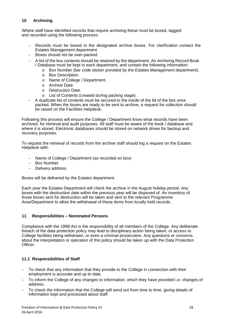#### **10 Archiving**

Where staff have identified records that require archiving these must be boxed, tagged and recorded using the following process:

- Records must be boxed in the designated archive boxes. For clarification contact the Estates Management department.
- Boxes should not be over-packed.
- A list of the box contents should be retained by the department. An Archiving Record Book / Database must be kept in each department, and contain the following information:
	- o Box Number (bar code sticker provided by the Estates Management department).
	- o Box Description.
	- o Name of College / Department.
	- o Archive Date.
	- o Destruction Date.
	- o List of Contents (created during packing stage).
- A duplicate list of contents must be secured to the inside of the lid of the box once packed. When the boxes are ready to be sent to archive, a request for collection should be raised on the Facilities Helpdesk.

Following this process will ensure the College / Department know what records have been archived, for retrieval and audit purposes. All staff must be aware of the book / database and where it is stored. Electronic databases should be stored on network drives for backup and recovery purposes.

To request the retrieval of records from the archive staff should log a request on the Estates Helpdesk with:

- Name of College / Department (as recorded on box)
- Box Number
- Delivery address

Boxes will be delivered by the Estates department.

Each year the Estates Department will check the archive in the August holiday period. Any boxes with the destruction date within the previous year will be disposed of. An inventory of those boxes sent for destruction will be taken and sent to the relevant Programme Area/Department to allow the withdrawal of these items from locally held records.

#### **11 Responsibilities – Nominated Persons**

Compliance with the 1998 Act is the responsibility of all members of the College. Any deliberate breach of the data protection policy may lead to disciplinary action being taken, or access to College facilities being withdrawn, or even a criminal prosecution. Any questions or concerns about the interpretation or operation of this policy should be taken up with the Data Protection Officer.

#### **11.1 Responsibilities of Staff**

- To check that any information that they provide to the College in connection with their employment is accurate and up to date.
- To inform the College of any changes to information, which they have provided i.e. changes of address.
- To check the information that the College will send out from time to time, giving details of information kept and processed about staff.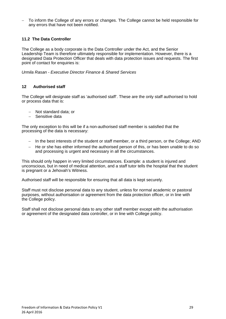To inform the College of any errors or changes. The College cannot be held responsible for any errors that have not been notified.

#### **11.2 The Data Controller**

The College as a body corporate is the Data Controller under the Act, and the Senior Leadership Team is therefore ultimately responsible for implementation. However, there is a designated Data Protection Officer that deals with data protection issues and requests. The first point of contact for enquiries is:

*Urmila Rasan - Executive Director Finance & Shared Services* 

#### **12 Authorised staff**

The College will designate staff as 'authorised staff'. These are the only staff authorised to hold or process data that is:

- Not standard data; or
- Sensitive data

The only exception to this will be if a non-authorised staff member is satisfied that the processing of the data is necessary:

- In the best interests of the student or staff member, or a third person, or the College; AND
- He or she has either informed the authorised person of this, or has been unable to do so and processing is urgent and necessary in all the circumstances.

This should only happen in very limited circumstances. Example: a student is injured and unconscious, but in need of medical attention, and a staff tutor tells the hospital that the student is pregnant or a Jehovah's Witness.

Authorised staff will be responsible for ensuring that all data is kept securely.

Staff must not disclose personal data to any student, unless for normal academic or pastoral purposes, without authorisation or agreement from the data protection officer, or in line with the College policy.

Staff shall not disclose personal data to any other staff member except with the authorisation or agreement of the designated data controller, or in line with College policy.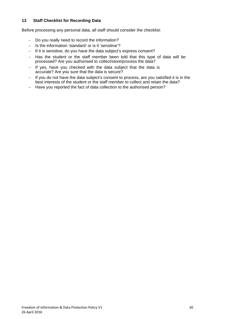#### **13 Staff Checklist for Recording Data**

Before processing any personal data, all staff should consider the checklist:

- Do you really need to record the information?
- Is the information 'standard' or is it 'sensitive'?
- $-I$  If it is sensitive, do you have the data subject's express consent?
- Has the student or the staff member been told that this type of data will be processed? Are you authorised to collect/store/process the data?
- $-$  If yes, have you checked with the data subject that the data is accurate? Are you sure that the data is secure?
- If you do not have the data subject's consent to process, are you satisfied it is in the best interests of the student or the staff member to collect and retain the data?
- Have you reported the fact of data collection to the authorised person?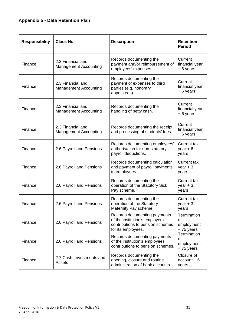# **Appendix 5 - Data Retention Plan**

| <b>Responsibility</b> | <b>Class No.</b>                                  | <b>Description</b>                                                                                                        | <b>Retention</b><br><b>Period</b>                   |
|-----------------------|---------------------------------------------------|---------------------------------------------------------------------------------------------------------------------------|-----------------------------------------------------|
| Finance               | 2.3 Financial and<br><b>Management Accounting</b> | Records documenting the<br>payment and/or reimbursement of<br>employees' expenses.                                        | Current<br>financial year<br>+6 years               |
| Finance               | 2.3 Financial and<br><b>Management Accounting</b> | Records documenting the<br>payment of expenses to third<br>parties (e.g. honorary<br>appointees).                         | Current<br>financial year<br>+6 years               |
| Finance               | 2.3 Financial and<br><b>Management Accounting</b> | Records documenting the<br>handling of petty cash.                                                                        | Current<br>financial year<br>+6 years               |
| Finance               | 2.3 Financial and<br><b>Management Accounting</b> | Records documenting the receipt<br>and processing of students' fees.                                                      | Current<br>financial year<br>+6 years               |
| Finance               | 2.6 Payroll and Pensions                          | Records documenting employees'<br>authorisation for non-statutory<br>payroll deductions.                                  | <b>Current tax</b><br>$year + 6$<br>years           |
| Finance               | 2.6 Payroll and Pensions                          | Records documenting calculation<br>and payment of payroll payments<br>to employees.                                       | <b>Current tax</b><br>$year + 3$<br>years           |
| Finance               | 2.6 Payroll and Pensions                          | Records documenting the<br>operation of the Statutory Sick<br>Pay scheme.                                                 | <b>Current tax</b><br>$year + 3$<br>years           |
| Finance               | 2.6 Payroll and Pensions                          | Records documenting the<br>operation of the Statutory<br>Maternity Pay scheme.                                            | <b>Current tax</b><br>$year + 3$<br>years           |
| Finance               | 2.6 Payroll and Pensions                          | Records documenting payments<br>of the institution's employers'<br>contributions to pension schemes<br>for its employees. | Termination<br>of<br>employment<br>+75 years        |
| Finance               | 2.6 Payroll and Pensions                          | Records documenting payments<br>of the institution's employees'<br>contributions to pension schemes.                      | Termination<br><b>of</b><br>employment<br>+75 years |
| Finance               | 2.7 Cash, Investments and<br>Assets               | Records documenting the<br>opening, closure and routine<br>administration of bank accounts.                               | Closure of<br>$account + 6$<br>years                |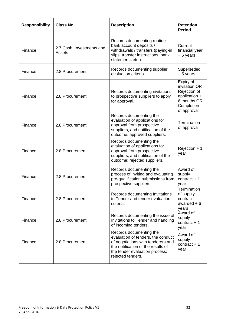| <b>Responsibility</b> | <b>Class No.</b>                    | <b>Description</b>                                                                                                                                                                               | <b>Retention</b><br><b>Period</b>                                                                       |
|-----------------------|-------------------------------------|--------------------------------------------------------------------------------------------------------------------------------------------------------------------------------------------------|---------------------------------------------------------------------------------------------------------|
| Finance               | 2.7 Cash, Investments and<br>Assets | Records documenting routine<br>bank account deposits /<br>withdrawals / transfers (paying-in<br>slips, transfer instructions, bank<br>statements etc.).                                          | Current<br>financial year<br>$+6$ years                                                                 |
| Finance               | 2.8 Procurement                     | Records documenting supplier<br>evaluation criteria.                                                                                                                                             | Superseded<br>+ 5 years                                                                                 |
| Finance               | 2.8 Procurement                     | Records documenting invitations<br>to prospective suppliers to apply<br>for approval.                                                                                                            | Expiry of<br>invitation OR<br>Rejection of<br>application +<br>6 months OR<br>Completion<br>of approval |
| Finance               | 2.8 Procurement                     | Records documenting the<br>evaluation of applications for<br>approval from prospective<br>suppliers, and notification of the<br>outcome: approved suppliers.                                     | Termination<br>of approval                                                                              |
| Finance               | 2.8 Procurement                     | Records documenting the<br>evaluation of applications for<br>approval from prospective<br>suppliers, and notification of the<br>outcome: rejected suppliers.                                     | Rejection + 1<br>year                                                                                   |
| Finance               | 2.8 Procurement                     | Records documenting the<br>process of inviting and evaluating<br>pre-qualification submissions from<br>prospective suppliers.                                                                    | Award of<br>supply<br>contract $+1$<br>year                                                             |
| Finance               | 2.8 Procurement                     | Records documenting Invitations<br>to Tender and tender evaluation<br>criteria.                                                                                                                  | <b>Termination</b><br>of supply<br>contract<br>awarded $+6$<br>years                                    |
| Finance               | 2.8 Procurement                     | Records documenting the issue of<br>Invitations to Tender and handling<br>of incoming tenders.                                                                                                   | Award of<br>supply<br>contract $+1$<br>year                                                             |
| Finance               | 2.8 Procurement                     | Records documenting the<br>evaluation of tenders, the conduct<br>of negotiations with tenderers and<br>the notification of the results of<br>the tender evaluation process:<br>rejected tenders. | Award of<br>supply<br>$contract + 1$<br>year                                                            |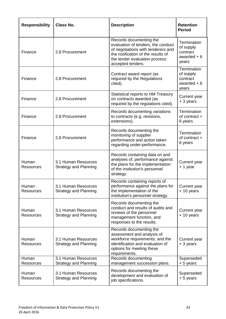| <b>Responsibility</b>     | Class No.                                           | <b>Description</b>                                                                                                                                                                               | <b>Retention</b><br><b>Period</b>                             |
|---------------------------|-----------------------------------------------------|--------------------------------------------------------------------------------------------------------------------------------------------------------------------------------------------------|---------------------------------------------------------------|
| Finance                   | 2.8 Procurement                                     | Records documenting the<br>evaluation of tenders, the conduct<br>of negotiations with tenderers and<br>the notification of the results of<br>the tender evaluation process:<br>accepted tenders. | Termination<br>of supply<br>contract<br>awarded $+6$<br>years |
| Finance                   | 2.8 Procurement                                     | Contract award report (as<br>required by the Regulations<br>cited).                                                                                                                              | Termination<br>of supply<br>contract<br>awarded $+6$<br>years |
| Finance                   | 2.8 Procurement                                     | Statistical reports to HM Treasury<br>on contracts awarded (as<br>required by the regulations cited).                                                                                            | Current year<br>+ 3 years                                     |
| Finance                   | 2.8 Procurement                                     | Records documenting variations<br>to contracts (e.g. revisions,<br>extensions).                                                                                                                  | Termination<br>of contract +<br>6 years                       |
| Finance                   | 2.8 Procurement                                     | Records documenting the<br>monitoring of supplier<br>performance and action taken<br>regarding under-performance.                                                                                | Termination<br>of contract +<br>6 years                       |
| Human<br><b>Resources</b> | 3.1 Human Resources<br><b>Strategy and Planning</b> | Records containing data on and<br>analyses of, performance against<br>the plans for the implementation<br>of the institution's personnel<br>strategy.                                            | Current year<br>+ 1 year                                      |
| Human<br><b>Resources</b> | 3.1 Human Resources<br><b>Strategy and Planning</b> | Records containing reports of<br>performance against the plans for<br>the implementation of the<br>institution's personnel strategy.                                                             | Current year<br>+ 10 years                                    |
| Human<br><b>Resources</b> | 3.1 Human Resources<br><b>Strategy and Planning</b> | Records documenting the<br>conduct and results of audits and<br>reviews of the personnel<br>management function, and<br>responses to the results.                                                | Current year<br>+10 years                                     |
| Human<br><b>Resources</b> | 3.1 Human Resources<br><b>Strategy and Planning</b> | Records documenting the<br>assessment and analysis of<br>workforce requirements, and the<br>identification and evaluation of<br>options for meeting these<br>requirements.                       | Current year<br>+ 3 years                                     |
| Human<br>Resources        | 3.1 Human Resources<br><b>Strategy and Planning</b> | Records documenting<br>management succession plans.                                                                                                                                              | Superseded<br>+ 5 years                                       |
| Human<br>Resources        | 3.1 Human Resources<br><b>Strategy and Planning</b> | Records documenting the<br>development and evaluation of<br>job specifications.                                                                                                                  | Superseded<br>$+5$ years                                      |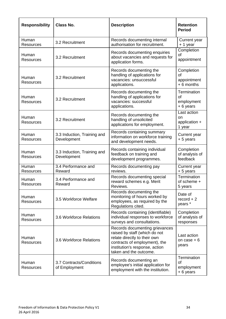| <b>Responsibility</b>     | <b>Class No.</b>                           | <b>Description</b>                                                                                                                                                                           | <b>Retention</b><br><b>Period</b>              |
|---------------------------|--------------------------------------------|----------------------------------------------------------------------------------------------------------------------------------------------------------------------------------------------|------------------------------------------------|
| Human<br>Resources        | 3.2 Recruitment                            | Records documenting internal<br>authorisation for recruitment.                                                                                                                               | Current year<br>+ 1 year                       |
| Human<br><b>Resources</b> | 3.2 Recruitment                            | Records documenting enquiries<br>about vacancies and requests for<br>application forms.                                                                                                      | Completion<br>of<br>appointment                |
| Human<br><b>Resources</b> | 3.2 Recruitment                            | Records documenting the<br>handling of applications for<br>vacancies: unsuccessful<br>applications.                                                                                          | Completion<br>Ωf<br>appointment<br>$+6$ months |
| Human<br><b>Resources</b> | 3.2 Recruitment                            | Records documenting the<br>handling of applications for<br>vacancies: successful<br>applications.                                                                                            | Termination<br>of<br>employment<br>+6 years    |
| Human<br>Resources        | 3.2 Recruitment                            | Records documenting the<br>handling of unsolicited<br>applications for employment.                                                                                                           | Last action<br>on<br>application +<br>1 year   |
| Human<br><b>Resources</b> | 3.3 Induction, Training and<br>Development | Records containing summary<br>information on workforce training<br>and development needs.                                                                                                    | Current year<br>+ 5 years                      |
| Human<br><b>Resources</b> | 3.3 Induction, Training and<br>Development | Records containing individual<br>feedback on training and<br>development programmes.                                                                                                         | Completion<br>of analysis of<br>feedback       |
| Human<br><b>Resources</b> | 3.4 Performance and<br>Reward              | Records documenting pay<br>reviews.                                                                                                                                                          | Current year<br>+ 5 years                      |
| Human<br><b>Resources</b> | 3.4 Performance and<br>Reward              | Records documenting special<br>reward schemes e.g. Merit<br>Reviews                                                                                                                          | Termination<br>of scheme +<br>5 years          |
| Human<br><b>Resources</b> | 3.5 Workforce Welfare                      | Records documenting the<br>monitoring of hours worked by<br>employees, as required by the<br>Regulations cited.                                                                              | Date of<br>$record + 2$<br>years *             |
| Human<br>Resources        | 3.6 Workforce Relations                    | Records containing (identifiable)<br>individual responses to workforce<br>surveys and consultations.                                                                                         | Completion<br>of analysis of<br>responses      |
| Human<br><b>Resources</b> | 3.6 Workforce Relations                    | Records documenting grievances<br>raised by staff (which do not<br>relate directly to their own<br>contracts of employment), the<br>institution's response, action<br>taken and the outcome. | Last action<br>on case $+6$<br>years           |
| Human<br><b>Resources</b> | 3.7 Contracts/Conditions<br>of Employment  | Records documenting an<br>employee's initial application for<br>employment with the institution.                                                                                             | Termination<br>οf<br>employment<br>+6 years    |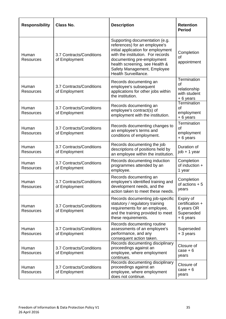| <b>Responsibility</b>     | <b>Class No.</b>                          | <b>Description</b>                                                                                                                                                                                                                                                | <b>Retention</b><br><b>Period</b>                                    |
|---------------------------|-------------------------------------------|-------------------------------------------------------------------------------------------------------------------------------------------------------------------------------------------------------------------------------------------------------------------|----------------------------------------------------------------------|
| Human<br><b>Resources</b> | 3.7 Contracts/Conditions<br>of Employment | Supporting documentation (e.g.<br>references) for an employee's<br>initial application for employment<br>with the institution. For records<br>documenting pre-employment<br>health screening, see Health &<br>Safety Management, Employee<br>Health Surveillance. | Completion<br>Ωf<br>appointment                                      |
| Human<br><b>Resources</b> | 3.7 Contracts/Conditions<br>of Employment | Records documenting an<br>employee's subsequent<br>applications for other jobs within<br>the institution.                                                                                                                                                         | Termination<br>Ωf<br>relationship<br>with student<br>+6 years        |
| Human<br><b>Resources</b> | 3.7 Contracts/Conditions<br>of Employment | Records documenting an<br>employee's contract(s) of<br>employment with the institution.                                                                                                                                                                           | Termination<br>of<br>employment<br>+6 years                          |
| Human<br>Resources        | 3.7 Contracts/Conditions<br>of Employment | Records documenting changes to<br>an employee's terms and<br>conditions of employment.                                                                                                                                                                            | Termination<br>of<br>employment<br>+6 years                          |
| Human<br><b>Resources</b> | 3.7 Contracts/Conditions<br>of Employment | Records documenting the job<br>descriptions of positions held by<br>an employee within the institution.                                                                                                                                                           | Duration of<br>job + 1 year                                          |
| Human<br><b>Resources</b> | 3.7 Contracts/Conditions<br>of Employment | Records documenting induction<br>programmes attended by an<br>employee.                                                                                                                                                                                           | Completion<br>of induction +<br>1 year                               |
| Human<br>Resources        | 3.7 Contracts/Conditions<br>of Employment | Records documenting an<br>employee's identified training and<br>development needs, and the<br>action taken to meet these needs.                                                                                                                                   | Completion<br>of actions $+5$<br>years                               |
| Human<br><b>Resources</b> | 3.7 Contracts/Conditions<br>of Employment | Records documenting job-specific<br>statutory / regulatory training<br>requirements for an employee,<br>and the training provided to meet<br>these requirements.                                                                                                  | Expiry of<br>certification +<br>6 years OR<br>Superseded<br>+6 years |
| Human<br><b>Resources</b> | 3.7 Contracts/Conditions<br>of Employment | Records documenting routine<br>assessments of an employee's<br>performance, and any<br>consequent action taken.                                                                                                                                                   | Superseded<br>+ 3 years                                              |
| Human<br><b>Resources</b> | 3.7 Contracts/Conditions<br>of Employment | Records documenting disciplinary<br>proceedings against an<br>employee, where employment<br>continues.                                                                                                                                                            | Closure of<br>$case + 6$<br>years                                    |
| Human<br><b>Resources</b> | 3.7 Contracts/Conditions<br>of Employment | Records documenting disciplinary<br>proceedings against an<br>employee, where employment<br>does not continue.                                                                                                                                                    | Closure of<br>$case + 6$<br>years                                    |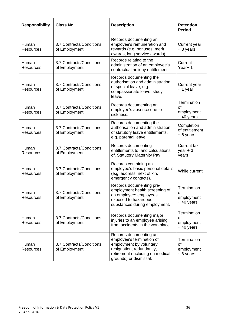| <b>Responsibility</b>     | <b>Class No.</b>                          | <b>Description</b>                                                                                                                                                       | <b>Retention</b><br><b>Period</b>                   |
|---------------------------|-------------------------------------------|--------------------------------------------------------------------------------------------------------------------------------------------------------------------------|-----------------------------------------------------|
| Human<br>Resources        | 3.7 Contracts/Conditions<br>of Employment | Records documenting an<br>employee's remuneration and<br>rewards (e.g. bonuses, merit<br>awards, long service awards).                                                   | Current year<br>+ 3 years                           |
| Human<br>Resources        | 3.7 Contracts/Conditions<br>of Employment | Records relating to the<br>administration of an employee's<br>contractual holiday entitlement.                                                                           | Current<br>Year+1                                   |
| Human<br>Resources        | 3.7 Contracts/Conditions<br>of Employment | Records documenting the<br>authorisation and administration<br>of special leave, e.g.<br>compassionate leave, study<br>leave.                                            | Current year<br>+ 1 year                            |
| Human<br>Resources        | 3.7 Contracts/Conditions<br>of Employment | Records documenting an<br>employee's absence due to<br>sickness.                                                                                                         | Termination<br>of<br>employment<br>+40 years        |
| Human<br>Resources        | 3.7 Contracts/Conditions<br>of Employment | Records documenting the<br>authorisation and administration<br>of statutory leave entitlements,<br>e.g. parental leave.                                                  | Completion<br>of entitlement<br>+6 years            |
| Human<br>Resources        | 3.7 Contracts/Conditions<br>of Employment | Records documenting<br>entitlements to, and calculations<br>of, Statutory Maternity Pay.                                                                                 | <b>Current tax</b><br>$year + 3$<br>years           |
| Human<br>Resources        | 3.7 Contracts/Conditions<br>of Employment | Records containing an<br>employee's basic personal details<br>(e.g. address, next of kin,<br>emergency contacts).                                                        | While current                                       |
| Human<br><b>Resources</b> | 3.7 Contracts/Conditions<br>of Employment | Records documenting pre-<br>employment health screening of<br>an employee: employees<br>exposed to hazardous<br>substances during employment.                            | Termination<br><b>of</b><br>employment<br>+40 years |
| Human<br>Resources        | 3.7 Contracts/Conditions<br>of Employment | Records documenting major<br>injuries to an employee arising<br>from accidents in the workplace.                                                                         | Termination<br><b>of</b><br>employment<br>+40 years |
| Human<br><b>Resources</b> | 3.7 Contracts/Conditions<br>of Employment | Records documenting an<br>employee's termination of<br>employment by voluntary<br>resignation, redundancy,<br>retirement (including on medical<br>grounds) or dismissal. | Termination<br>0f<br>employment<br>+6 years         |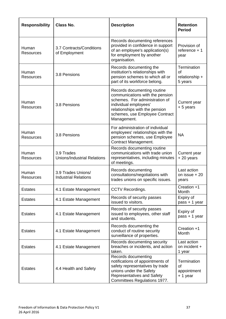| <b>Responsibility</b>     | <b>Class No.</b>                                  | <b>Description</b>                                                                                                                                                                                           | <b>Retention</b><br><b>Period</b>                     |
|---------------------------|---------------------------------------------------|--------------------------------------------------------------------------------------------------------------------------------------------------------------------------------------------------------------|-------------------------------------------------------|
| Human<br><b>Resources</b> | 3.7 Contracts/Conditions<br>of Employment         | Records documenting references<br>provided in confidence in support<br>of an employee's application(s)<br>for employment by another<br>organisation.                                                         | Provision of<br>reference $+1$<br>year                |
| Human<br><b>Resources</b> | 3.8 Pensions                                      | Records documenting the<br>institution's relationships with<br>pension schemes to which all or<br>part of its workforce belong.                                                                              | Termination<br><b>of</b><br>relationship +<br>5 years |
| Human<br>Resources        | 3.8 Pensions                                      | Records documenting routine<br>communications with the pension<br>schemes. For administration of<br>individual employees'<br>relationships with the pension<br>schemes, use Employee Contract<br>Management. | Current year<br>+ 5 years                             |
| Human<br>Resources        | 3.8 Pensions                                      | For administration of individual<br>employees' relationships with the<br>pension schemes, use Employee<br>Contract Management.                                                                               | <b>NA</b>                                             |
| Human<br>Resources        | 3.9 Trades<br><b>Unions/Industrial Relations</b>  | Records documenting routine<br>communications with trade union<br>representatives, including minutes<br>of meetings.                                                                                         | Current year<br>+20 years                             |
| Human<br>Resources        | 3.9 Trades Unions/<br><b>Industrial Relations</b> | Records documenting<br>consultations/negotiations with<br>trades unions on specific issues.                                                                                                                  | Last action<br>on issue $+20$<br>years                |
| <b>Estates</b>            | 4.1 Estate Management                             | CCTV Recordings.                                                                                                                                                                                             | Creation +1<br>Month                                  |
| <b>Estates</b>            | 4.1 Estate Management                             | Records of security passes<br>issued to visitors.                                                                                                                                                            | Expiry of<br>pass + 1 year                            |
| <b>Estates</b>            | 4.1 Estate Management                             | Records of security passes<br>issued to employees, other staff<br>and students.                                                                                                                              | Expiry of<br>pass + 1 year                            |
| <b>Estates</b>            | 4.1 Estate Management                             | Records documenting the<br>conduct of routine security<br>surveillance of properties.                                                                                                                        | Creation +1<br>Month                                  |
| <b>Estates</b>            | 4.1 Estate Management                             | Records documenting security<br>breaches or incidents, and action<br>taken.                                                                                                                                  | Last action<br>on incident +<br>1 year                |
| <b>Estates</b>            | 4.4 Health and Safety                             | Records documenting<br>notifications of appointments of<br>safety representatives by trade<br>unions under the Safety<br><b>Representatives and Safety</b><br>Committees Regulations 1977.                   | Termination<br>οf<br>appointment<br>+ 1 year          |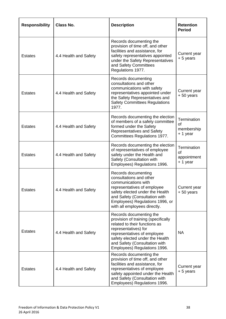| <b>Responsibility</b> | <b>Class No.</b>      | <b>Description</b>                                                                                                                                                                                                                                         | <b>Retention</b><br><b>Period</b>            |
|-----------------------|-----------------------|------------------------------------------------------------------------------------------------------------------------------------------------------------------------------------------------------------------------------------------------------------|----------------------------------------------|
| <b>Estates</b>        | 4.4 Health and Safety | Records documenting the<br>provision of time off, and other<br>facilities and assistance, for<br>safety representatives appointed<br>under the Safety Representatives<br>and Safety Committees<br>Regulations 1977.                                        | Current year<br>+ 5 years                    |
| <b>Estates</b>        | 4.4 Health and Safety | Records documenting<br>consultations and other<br>communications with safety<br>representatives appointed under<br>the Safety Representatives and<br><b>Safety Committees Regulations</b><br>1977.                                                         | Current year<br>+50 years                    |
| <b>Estates</b>        | 4.4 Health and Safety | Records documenting the election<br>of members of a safety committee<br>formed under the Safety<br><b>Representatives and Safety</b><br>Committees Regulations 1977.                                                                                       | Termination<br>of<br>membership<br>+ 1 year  |
| <b>Estates</b>        | 4.4 Health and Safety | Records documenting the election<br>of representatives of employee<br>safety under the Health and<br>Safety (Consultation with<br>Employees) Regulations 1996.                                                                                             | Termination<br>0f<br>appointment<br>+ 1 year |
| <b>Estates</b>        | 4.4 Health and Safety | Records documenting<br>consultations and other<br>communications with<br>representatives of employee<br>safety elected under the Health<br>and Safety (Consultation with<br>Employees) Regulations 1996, or<br>with all employees directly.                | Current year<br>$+50$ years                  |
| <b>Estates</b>        | 4.4 Health and Safety | Records documenting the<br>provision of training (specifically<br>related to their functions as<br>representatives) for<br>representatives of employee<br>safety elected under the Health<br>and Safety (Consultation with<br>Employees) Regulations 1996. | <b>NA</b>                                    |
| <b>Estates</b>        | 4.4 Health and Safety | Records documenting the<br>provision of time off, and other<br>facilities and assistance, for<br>representatives of employee<br>safety appointed under the Health<br>and Safety (Consultation with<br>Employees) Regulations 1996.                         | Current year<br>+ 5 years                    |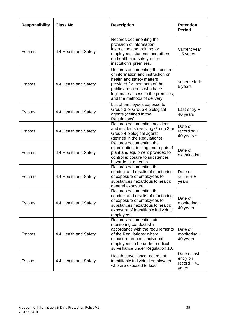| <b>Responsibility</b> | Class No.             | <b>Description</b>                                                                                                                                                                                                                   | <b>Retention</b><br><b>Period</b>                  |
|-----------------------|-----------------------|--------------------------------------------------------------------------------------------------------------------------------------------------------------------------------------------------------------------------------------|----------------------------------------------------|
| <b>Estates</b>        | 4.4 Health and Safety | Records documenting the<br>provision of information,<br>instruction and training for<br>employees, students and others<br>on health and safety in the<br>institution's premises.                                                     | Current year<br>+ 5 years                          |
| <b>Estates</b>        | 4.4 Health and Safety | Records documenting the content<br>of information and instruction on<br>health and safety matters<br>provided for members of the<br>public and others who have<br>legitimate access to the premises,<br>and the methods of delivery. | superseded+<br>5 years                             |
| <b>Estates</b>        | 4.4 Health and Safety | List of employees exposed to<br>Group 3 or Group 4 biological<br>agents (defined in the<br>Regulations).                                                                                                                             | Last entry $+$<br>40 years                         |
| <b>Estates</b>        | 4.4 Health and Safety | Records documenting accidents<br>and incidents involving Group 3 or<br>Group 4 biological agents<br>(defined in the Regulations).                                                                                                    | Date of<br>$recording +$<br>40 years *             |
| <b>Estates</b>        | 4.4 Health and Safety | Records documenting the<br>examination, testing and repair of<br>plant and equipment provided to<br>control exposure to substances<br>hazardous to health.                                                                           | Date of<br>examination                             |
| <b>Estates</b>        | 4.4 Health and Safety | Records documenting the<br>conduct and results of monitoring<br>of exposure of employees to<br>substances hazardous to health:<br>general exposure.                                                                                  | Date of<br>$action + 5$<br>years                   |
| <b>Estates</b>        | 4.4 Health and Safety | Records documenting the<br>conduct and results of monitoring<br>of exposure of employees to<br>substances hazardous to health:<br>exposure of identifiable individual<br>employees.                                                  | Date of<br>monitoring +<br>40 years                |
| <b>Estates</b>        | 4.4 Health and Safety | Records documenting air<br>monitoring conducted in<br>accordance with the requirements<br>of the Regulations: where<br>exposure requires individual<br>employees to be under medical<br>surveillance under Regulation 10.            | Date of<br>monitoring +<br>40 years                |
| <b>Estates</b>        | 4.4 Health and Safety | Health surveillance records of<br>identifiable individual employees<br>who are exposed to lead.                                                                                                                                      | Date of last<br>entry on<br>$record + 40$<br>years |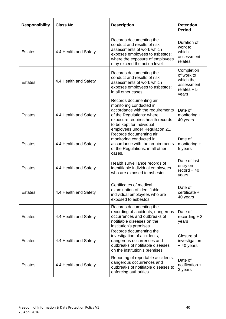| <b>Responsibility</b> | <b>Class No.</b>      | <b>Description</b>                                                                                                                                                                                                     | <b>Retention</b><br><b>Period</b>                                            |
|-----------------------|-----------------------|------------------------------------------------------------------------------------------------------------------------------------------------------------------------------------------------------------------------|------------------------------------------------------------------------------|
| <b>Estates</b>        | 4.4 Health and Safety | Records documenting the<br>conduct and results of risk<br>assessments of work which<br>exposes employees to asbestos:<br>where the exposure of employees<br>may exceed the action level.                               | Duration of<br>work to<br>which<br>assessment<br>relates                     |
| <b>Estates</b>        | 4.4 Health and Safety | Records documenting the<br>conduct and results of risk<br>assessments of work which<br>exposes employees to asbestos:<br>in all other cases.                                                                           | Completion<br>of work to<br>which the<br>assessment<br>relates $+5$<br>years |
| <b>Estates</b>        | 4.4 Health and Safety | Records documenting air<br>monitoring conducted in<br>accordance with the requirements<br>of the Regulations: where<br>exposure requires health records<br>to be kept for individual<br>employees under Regulation 21. | Date of<br>monitoring +<br>40 years                                          |
| <b>Estates</b>        | 4.4 Health and Safety | Records documenting air<br>monitoring conducted in<br>accordance with the requirements<br>of the Regulations: in all other<br>cases.                                                                                   | Date of<br>monitoring +<br>5 years                                           |
| <b>Estates</b>        | 4.4 Health and Safety | Health surveillance records of<br>identifiable individual employees<br>who are exposed to asbestos.                                                                                                                    | Date of last<br>entry on<br>$record + 40$<br>years                           |
| <b>Estates</b>        | 4.4 Health and Safety | Certificates of medical<br>examination of identifiable<br>individual employees who are<br>exposed to asbestos.                                                                                                         | Date of<br>certificate +<br>40 years                                         |
| <b>Estates</b>        | 4.4 Health and Safety | Records documenting the<br>recording of accidents, dangerous<br>occurrences and outbreaks of<br>notifiable diseases on the<br>institution's premises.                                                                  | Date of<br>$recording + 3$<br>years                                          |
| <b>Estates</b>        | 4.4 Health and Safety | Records documenting the<br>investigation of accidents,<br>dangerous occurrences and<br>outbreaks of notifiable diseases<br>on the institution's premises.                                                              | Closure of<br>investigation<br>+40 years                                     |
| <b>Estates</b>        | 4.4 Health and Safety | Reporting of reportable accidents,<br>dangerous occurrences and<br>outbreaks of notifiable diseases to<br>enforcing authorities.                                                                                       | Date of<br>notification +<br>3 years                                         |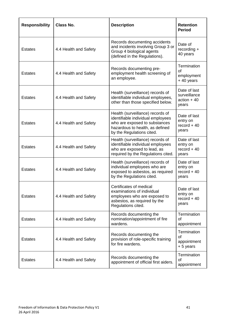| <b>Responsibility</b> | <b>Class No.</b>      | <b>Description</b>                                                                                                                                                     | <b>Retention</b><br><b>Period</b>                      |
|-----------------------|-----------------------|------------------------------------------------------------------------------------------------------------------------------------------------------------------------|--------------------------------------------------------|
| <b>Estates</b>        | 4.4 Health and Safety | Records documenting accidents<br>and incidents involving Group 3 or<br>Group 4 biological agents<br>(defined in the Regulations).                                      | Date of<br>recording +<br>40 years                     |
| <b>Estates</b>        | 4.4 Health and Safety | Records documenting pre-<br>employment health screening of<br>an employee.                                                                                             | Termination<br>of<br>employment<br>+40 years           |
| <b>Estates</b>        | 4.4 Health and Safety | Health (surveillance) records of<br>identifiable individual employees,<br>other than those specified below.                                                            | Date of last<br>surveillance<br>$action + 40$<br>years |
| <b>Estates</b>        | 4.4 Health and Safety | Health (surveillance) records of<br>identifiable individual employees<br>who are exposed to substances<br>hazardous to health, as defined<br>by the Regulations cited. | Date of last<br>entry on<br>$record + 40$<br>years     |
| <b>Estates</b>        | 4.4 Health and Safety | Health (surveillance) records of<br>identifiable individual employees<br>who are exposed to lead, as<br>required by the Regulations cited.                             | Date of last<br>entry on<br>$record + 40$<br>years     |
| <b>Estates</b>        | 4.4 Health and Safety | Health (surveillance) records of<br>individual employees who are<br>exposed to asbestos, as required<br>by the Regulations cited.                                      | Date of last<br>entry on<br>$record + 40$<br>years     |
| <b>Estates</b>        | 4.4 Health and Safety | Certificates of medical<br>examinations of individual<br>employees who are exposed to<br>asbestos, as required by the<br>Regulations cited.                            | Date of last<br>entry on<br>$record + 40$<br>years     |
| <b>Estates</b>        | 4.4 Health and Safety | Records documenting the<br>nomination/appointment of fire<br>wardens.                                                                                                  | Termination<br>οf<br>appointment                       |
| <b>Estates</b>        | 4.4 Health and Safety | Records documenting the<br>provision of role-specific training<br>for fire wardens.                                                                                    | Termination<br>οf<br>appointment<br>+ 5 years          |
| <b>Estates</b>        | 4.4 Health and Safety | Records documenting the<br>appointment of official first aiders.                                                                                                       | Termination<br>of<br>appointment                       |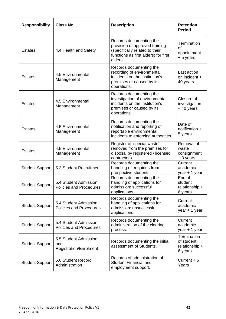| <b>Responsibility</b>  | <b>Class No.</b>                                              | <b>Description</b>                                                                                                                             | <b>Retention</b><br><b>Period</b>                      |
|------------------------|---------------------------------------------------------------|------------------------------------------------------------------------------------------------------------------------------------------------|--------------------------------------------------------|
| <b>Estates</b>         | 4.4 Health and Safety                                         | Records documenting the<br>provision of approved training<br>(specifically related to their<br>functions as first aiders) for first<br>aiders. | Termination<br>Ωf<br>appointment<br>+ 5 years          |
| <b>Estates</b>         | 4.5 Environmental<br>Management                               | Records documenting the<br>recording of environmental<br>incidents on the institution's<br>premises or caused by its<br>operations.            | Last action<br>on incident +<br>40 years               |
| <b>Estates</b>         | 4.5 Environmental<br>Management                               | Records documenting the<br>investigation of environmental<br>incidents on the institution's<br>premises or caused by its<br>operations.        | Closure of<br>investigation<br>+40 years               |
| <b>Estates</b>         | 4.5 Environmental<br>Management                               | Records documenting the<br>notification and reporting of<br>reportable environmental<br>incidents to enforcing authorities.                    | Date of<br>notification +<br>5 years                   |
| <b>Estates</b>         | 4.5 Environmental<br>Management                               | Register of 'special waste'<br>removed from the premises for<br>disposal by registered / licensed<br>contractors.                              | Removal of<br>waste<br>consignment<br>+ 3 years        |
| <b>Student Support</b> | 5.3 Student Recruitment                                       | Records documenting the<br>handling of enquiries from<br>prospective students.                                                                 | Current<br>academic<br>year + 1 year                   |
| <b>Student Support</b> | 5.4 Student Admission<br>Policies and Procedures              | Records documenting the<br>handling of applications for<br>admission: successful<br>applications.                                              | End of<br>student<br>relationship +<br>6 years         |
| <b>Student Support</b> | 5.4 Student Admission<br><b>Policies and Procedures</b>       | Records documenting the<br>handling of applications for<br>admission: unsuccessful<br>applications.                                            | Current<br>academic<br>year + 1 year                   |
| <b>Student Support</b> | 5.4 Student Admission<br>Policies and Procedures              | Records documenting the<br>administration of the clearing<br>process.                                                                          | Current<br>academic<br>year + 1 year                   |
| <b>Student Support</b> | 5.5 Student Admission<br>and<br><b>Registration/Enrolment</b> | Records documenting the initial<br>assessment of Students.                                                                                     | Termination<br>of student<br>relationship +<br>6 years |
| <b>Student Support</b> | 5.6 Student Record<br>Administration                          | Records of administration of<br><b>Student Financial and</b><br>employment support.                                                            | Current $+6$<br>Years                                  |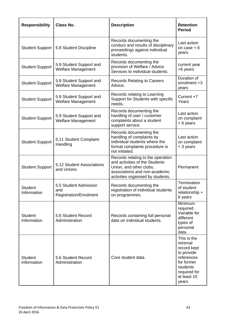| <b>Responsibility</b>         | <b>Class No.</b>                                              | <b>Description</b>                                                                                                                                                   | <b>Retention</b><br><b>Period</b>                                                                                                   |
|-------------------------------|---------------------------------------------------------------|----------------------------------------------------------------------------------------------------------------------------------------------------------------------|-------------------------------------------------------------------------------------------------------------------------------------|
| <b>Student Support</b>        | 5.8 Student Discipline                                        | Records documenting the<br>conduct and results of disciplinary<br>proceedings against individual<br>students.                                                        | Last action<br>on case $+6$<br>years                                                                                                |
| <b>Student Support</b>        | 5.9 Student Support and<br><b>Welfare Management</b>          | Records documenting the<br>provision of Welfare / Advice<br>Services to individual students.                                                                         | current year<br>+6 years                                                                                                            |
| <b>Student Support</b>        | 5.9 Student Support and<br><b>Welfare Management</b>          | <b>Records Relating to Careers</b><br>Advice.                                                                                                                        | Duration of<br>enrolment +3<br>years                                                                                                |
| <b>Student Support</b>        | 5.9 Student Support and<br><b>Welfare Management</b>          | Records relating to Learning<br>Support for Students with specific<br>needs.                                                                                         | Current $+7$<br>Years                                                                                                               |
| <b>Student Support</b>        | 5.9 Student Support and<br><b>Welfare Management</b>          | Records documenting the<br>handling of user / customer<br>complaints about a student<br>support service.                                                             | Last action<br>on complaint<br>+6 years                                                                                             |
| <b>Student Support</b>        | 5.11 Student Complaint<br>Handling                            | Records documenting the<br>handling of complaints by<br>individual students where the<br>formal complaints procedure is<br>not initiated.                            | Last action<br>on complaint<br>+ 3 years                                                                                            |
| <b>Student Support</b>        | 5.12 Student Associations<br>and Unions                       | Records relating to the operation<br>and activities of the Students<br>Union, and other clubs,<br>associations and non-academic<br>activities organised by students. | Permanent                                                                                                                           |
| <b>Student</b><br>Information | 5.5 Student Admission<br>and<br><b>Registration/Enrolment</b> | Records documenting the<br>registration of individual students<br>on programmes.                                                                                     | Termination<br>of student<br>relationship +<br>6 years                                                                              |
| <b>Student</b><br>Information | 5.6 Student Record<br>Administration                          | Records containing full personal<br>data on individual students.                                                                                                     | Minimum<br>required.<br>Variable for<br>different<br>types of<br>personal<br>data.                                                  |
| <b>Student</b><br>Information | 5.6 Student Record<br>Administration                          | Core student data.                                                                                                                                                   | This is the<br>minimal<br>record kept<br>to provide<br>references<br>for former<br>students<br>required for<br>at least 10<br>years |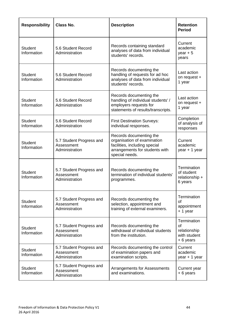| <b>Responsibility</b>         | <b>Class No.</b>                                         | <b>Description</b>                                                                                                                          | <b>Retention</b><br><b>Period</b>                             |
|-------------------------------|----------------------------------------------------------|---------------------------------------------------------------------------------------------------------------------------------------------|---------------------------------------------------------------|
| <b>Student</b><br>Information | 5.6 Student Record<br>Administration                     | Records containing standard<br>analyses of data from individual<br>students' records.                                                       | Current<br>academic<br>year $+5$<br>years                     |
| <b>Student</b><br>Information | 5.6 Student Record<br>Administration                     | Records documenting the<br>handling of requests for ad hoc<br>analyses of data from individual<br>students' records.                        | Last action<br>on request +<br>1 year                         |
| <b>Student</b><br>Information | 5.6 Student Record<br>Administration                     | Records documenting the<br>handling of individual students' /<br>employers requests for<br>statements of results/transcripts.               | Last action<br>on request +<br>1 year                         |
| <b>Student</b><br>Information | 5.6 Student Record<br>Administration                     | <b>First Destination Surveys:</b><br>individual responses.                                                                                  | Completion<br>of analysis of<br>responses                     |
| <b>Student</b><br>Information | 5.7 Student Progress and<br>Assessment<br>Administration | Records documenting the<br>organisation of examination<br>facilities, including special<br>arrangements for students with<br>special needs. | Current<br>academic<br>year + 1 year                          |
| <b>Student</b><br>Information | 5.7 Student Progress and<br>Assessment<br>Administration | Records documenting the<br>termination of individual students'<br>programmes.                                                               | Termination<br>of student<br>relationship +<br>6 years        |
| <b>Student</b><br>Information | 5.7 Student Progress and<br>Assessment<br>Administration | Records documenting the<br>selection, appointment and<br>training of external examiners.                                                    | Termination<br>Ωf<br>appointment<br>+ 1 year                  |
| <b>Student</b><br>Information | 5.7 Student Progress and<br>Assessment<br>Administration | Records documenting the<br>withdrawal of individual students<br>from the institution.                                                       | Termination<br>of<br>relationship<br>with student<br>+6 years |
| <b>Student</b><br>Information | 5.7 Student Progress and<br>Assessment<br>Administration | Records documenting the control<br>of examination papers and<br>examination scripts.                                                        | Current<br>academic<br>year + 1 year                          |
| <b>Student</b><br>Information | 5.7 Student Progress and<br>Assessment<br>Administration | <b>Arrangements for Assessments</b><br>and examinations.                                                                                    | Current year<br>+6 years                                      |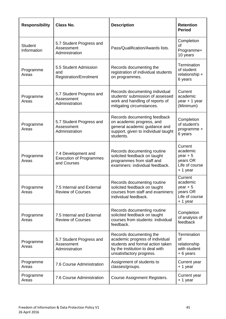| <b>Responsibility</b>         | <b>Class No.</b>                                                     | <b>Description</b>                                                                                                                                            | <b>Retention</b><br><b>Period</b>                                          |
|-------------------------------|----------------------------------------------------------------------|---------------------------------------------------------------------------------------------------------------------------------------------------------------|----------------------------------------------------------------------------|
| <b>Student</b><br>Information | 5.7 Student Progress and<br>Assessment<br>Administration             | Pass/Qualification/Awards lists.                                                                                                                              | Completion<br>οf<br>Programme+<br>10 years                                 |
| Programme<br>Areas            | 5.5 Student Admission<br>and<br><b>Registration/Enrolment</b>        | Records documenting the<br>registration of individual students<br>on programmes.                                                                              | Termination<br>of student<br>relationship +<br>6 years                     |
| Programme<br>Areas            | 5.7 Student Progress and<br>Assessment<br>Administration             | Records documenting individual<br>students' submission of assessed<br>work and handling of reports of<br>mitigating circumstances.                            | Current<br>academic<br>year + 1 year<br>(Minimum)                          |
| Programme<br>Areas            | 5.7 Student Progress and<br>Assessment<br>Administration             | Records documenting feedback<br>on academic progress, and<br>general academic guidance and<br>support, given to individual taught<br>students.                | Completion<br>of student's<br>programme +<br>6 years                       |
| Programme<br>Areas            | 7.4 Development and<br><b>Execution of Programmes</b><br>and Courses | Records documenting routine<br>solicited feedback on taught<br>programmes from staff and<br>examiners: individual feedback.                                   | Current<br>academic<br>year $+5$<br>years OR<br>Life of course<br>+ 1 year |
| Programme<br>Areas            | 7.5 Internal and External<br><b>Review of Courses</b>                | Records documenting routine<br>solicited feedback on taught<br>courses from staff and examiners:<br>individual feedback.                                      | Current<br>academic<br>year $+5$<br>years OR<br>Life of course<br>+ 1 year |
| Programme<br>Areas            | 7.5 Internal and External<br><b>Review of Courses</b>                | Records documenting routine<br>solicited feedback on taught<br>courses from students: individual<br>feedback.                                                 | Completion<br>of analysis of<br>feedback                                   |
| Programme<br>Areas            | 5.7 Student Progress and<br>Assessment<br>Administration             | Records documenting the<br>academic progress of individual<br>students and formal action taken<br>by the institution to deal with<br>unsatisfactory progress. | Termination<br><b>of</b><br>relationship<br>with student<br>+6 years       |
| Programme<br>Areas            | 7.6 Course Administration                                            | Assignment of students to<br>classes/groups.                                                                                                                  | Current year<br>+ 1 year                                                   |
| Programme<br>Areas            | 7.6 Course Administration                                            | <b>Course Assignment Registers.</b>                                                                                                                           | Current year<br>+ 1 year                                                   |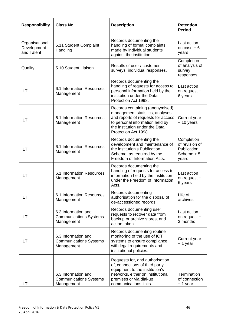| <b>Responsibility</b>                       | <b>Class No.</b>                                                   | <b>Description</b>                                                                                                                                                                                    | <b>Retention</b><br><b>Period</b>                                   |
|---------------------------------------------|--------------------------------------------------------------------|-------------------------------------------------------------------------------------------------------------------------------------------------------------------------------------------------------|---------------------------------------------------------------------|
| Organisational<br>Development<br>and Talent | 5.11 Student Complaint<br>Handling                                 | Records documenting the<br>handling of formal complaints<br>made by individual students<br>against the institution.                                                                                   | Last action<br>on case $+6$<br>years                                |
| Quality                                     | 5.10 Student Liaison                                               | Results of user / customer<br>surveys: individual responses.                                                                                                                                          | Completion<br>of analysis of<br>survey<br>responses                 |
| ILT                                         | 6.1 Information Resources<br>Management                            | Records documenting the<br>handling of requests for access to<br>personal information held by the<br>institution under the Data<br>Protection Act 1998.                                               | Last action<br>on request +<br>6 years                              |
| ILT                                         | 6.1 Information Resources<br>Management                            | Records containing (anonymised)<br>management statistics, analyses<br>and reports of requests for access<br>to personal information held by<br>the institution under the Data<br>Protection Act 1998. | Current year<br>+10 years                                           |
| <b>ILT</b>                                  | 6.1 Information Resources<br>Management                            | Records documenting the<br>development and maintenance of<br>the institution's Publication<br>Scheme, as required by the<br>Freedom of Information Acts.                                              | Completion<br>of revision of<br>Publication<br>Scheme $+5$<br>years |
| ILT                                         | 6.1 Information Resources<br>Management                            | Records documenting the<br>handling of requests for access to<br>information held by the institution<br>under the Freedom of Information<br>Acts.                                                     | Last action<br>on request +<br>6 years                              |
| ILT                                         | 6.1 Information Resources<br>Management                            | Records documenting<br>authorisation for the disposal of<br>de-accessioned records.                                                                                                                   | Life of<br>archives                                                 |
| ILT                                         | 6.3 Information and<br><b>Communications Systems</b><br>Management | Records documenting user<br>requests to recover data from<br>backup or archive stores, and<br>action taken.                                                                                           | Last action<br>on request +<br>3 months                             |
| ILT                                         | 6.3 Information and<br><b>Communications Systems</b><br>Management | Records documenting routine<br>monitoring of the use of ICT<br>systems to ensure compliance<br>with legal requirements and<br>institutional policies.                                                 | Current year<br>+ 1 year                                            |
| ILT                                         | 6.3 Information and<br><b>Communications Systems</b><br>Management | Requests for, and authorisation<br>of, connections of third party<br>equipment to the institution's<br>networks, either on institutional<br>premises or via dial-up<br>communications links.          | Termination<br>of connection<br>+ 1 year                            |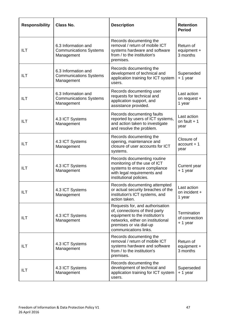| <b>Responsibility</b> | <b>Class No.</b>                                                   | <b>Description</b>                                                                                                                                                                           | <b>Retention</b><br><b>Period</b>         |
|-----------------------|--------------------------------------------------------------------|----------------------------------------------------------------------------------------------------------------------------------------------------------------------------------------------|-------------------------------------------|
| ILT                   | 6.3 Information and<br><b>Communications Systems</b><br>Management | Records documenting the<br>removal / return of mobile ICT<br>systems hardware and software<br>from / to the institution's<br>premises.                                                       | Return of<br>equipment +<br>3 months      |
| ILT                   | 6.3 Information and<br><b>Communications Systems</b><br>Management | Records documenting the<br>development of technical and<br>application training for ICT system<br>users.                                                                                     | Superseded<br>$+1$ year                   |
| ILT                   | 6.3 Information and<br><b>Communications Systems</b><br>Management | Records documenting user<br>requests for technical and<br>application support, and<br>assistance provided.                                                                                   | Last action<br>on request +<br>1 year     |
| ILT                   | 4.3 ICT Systems<br>Management                                      | Records documenting faults<br>reported by users of ICT systems,<br>and action taken to investigate<br>and resolve the problem.                                                               | Last action<br>on fault $+1$<br>year      |
| ILT                   | 4.3 ICT Systems<br>Management                                      | Records documenting the<br>opening, maintenance and<br>closure of user accounts for ICT<br>systems.                                                                                          | Closure of<br>$account + 1$<br>year       |
| ILT                   | 4.3 ICT Systems<br>Management                                      | Records documenting routine<br>monitoring of the use of ICT<br>systems to ensure compliance<br>with legal requirements and<br>institutional policies.                                        | Current year<br>+ 1 year                  |
| ILT                   | 4.3 ICT Systems<br>Management                                      | Records documenting attempted<br>or actual security breaches of the<br>institution's ICT systems, and<br>action taken.                                                                       | Last action<br>on incident +<br>1 year    |
| ILT                   | 4.3 ICT Systems<br>Management                                      | Requests for, and authorisation<br>of, connections of third party<br>equipment to the institution's<br>networks, either on institutional<br>premises or via dial-up<br>communications links. | Termination<br>of connection<br>$+1$ year |
| ILT                   | 4.3 ICT Systems<br>Management                                      | Records documenting the<br>removal / return of mobile ICT<br>systems hardware and software<br>from / to the institution's<br>premises.                                                       | Return of<br>equipment +<br>3 months      |
| ILT                   | 4.3 ICT Systems<br>Management                                      | Records documenting the<br>development of technical and<br>application training for ICT system<br>users.                                                                                     | Superseded<br>+ 1 year                    |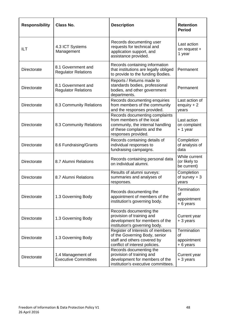| <b>Responsibility</b> | <b>Class No.</b>                                 | <b>Description</b>                                                                                                                                    | <b>Retention</b><br><b>Period</b>             |
|-----------------------|--------------------------------------------------|-------------------------------------------------------------------------------------------------------------------------------------------------------|-----------------------------------------------|
| <b>ILT</b>            | 4.3 ICT Systems<br>Management                    | Records documenting user<br>requests for technical and<br>application support, and<br>assistance provided.                                            | Last action<br>on request +<br>1 year         |
| Directorate           | 8.1 Government and<br><b>Regulator Relations</b> | Records containing information<br>that institutions are legally obliged<br>to provide to the funding Bodies.                                          | Permanent                                     |
| Directorate           | 8.1 Government and<br><b>Regulator Relations</b> | Reports / Returns made to<br>standards bodies, professional<br>bodies, and other government<br>departments.                                           | Permanent                                     |
| Directorate           | 8.3 Community Relations                          | Records documenting enquiries<br>from members of the community<br>and the responses provided.                                                         | Last action of<br>enquiry $+2$<br>years       |
| Directorate           | 8.3 Community Relations                          | Records documenting complaints<br>from members of the local<br>community, the internal handling<br>of these complaints and the<br>responses provided. | Last action<br>on complaint<br>$+1$ year      |
| Directorate           | 8.6 Fundraising/Grants                           | Records containing details of<br>individual responses to<br>fundraising campaigns.                                                                    | Completion<br>of analysis of<br>data          |
| Directorate           | 8.7 Alumni Relations                             | Records containing personal data<br>on individual alumni.                                                                                             | While current<br>(or likely to<br>be current) |
| Directorate           | 8.7 Alumni Relations                             | Results of alumni surveys:<br>summaries and analyses of<br>responses.                                                                                 | Completion<br>of survey $+3$<br>vears         |
| Directorate           | 1.3 Governing Body                               | Records documenting the<br>appointment of members of the<br>institution's governing body.                                                             | Termination<br>of<br>appointment<br>+6 years  |
| <b>Directorate</b>    | 1.3 Governing Body                               | Records documenting the<br>provision of training and<br>development for members of the<br>institution's governing body.                               | Current year<br>+ 3 years                     |
| Directorate           | 1.3 Governing Body                               | Register of Interests of members<br>of the Governing Body, senior<br>staff and others covered by<br>conflict of interest policies.                    | Termination<br>of<br>appointment<br>+6 years  |
| Directorate           | 1.4 Management of<br><b>Executive Committees</b> | Records documenting the<br>provision of training and<br>development for members of the<br>institution's executive committees.                         | Current year<br>+ 3 years                     |